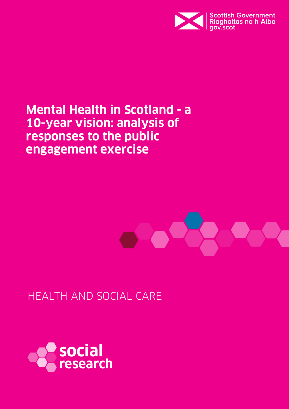

# **Mental Health in Scotland - a 10-year vision: analysis of responses to the public engagement exercise**



HEALTH AND SOCIAL CARE

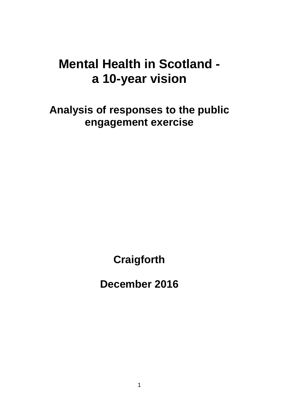# **Mental Health in Scotland a 10-year vision**

**Analysis of responses to the public engagement exercise**

**Craigforth**

**December 2016**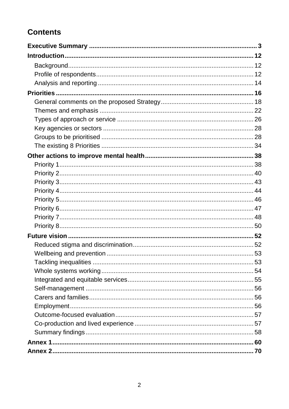# **Contents**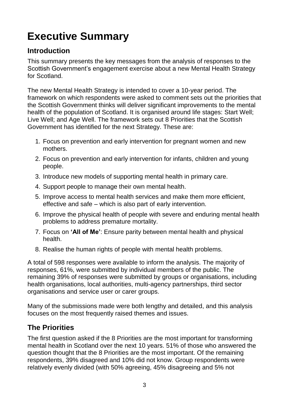# <span id="page-3-0"></span>**Executive Summary**

# **Introduction**

This summary presents the key messages from the analysis of responses to the Scottish Government's engagement exercise about a new Mental Health Strategy for Scotland.

The new Mental Health Strategy is intended to cover a 10-year period. The framework on which respondents were asked to comment sets out the priorities that the Scottish Government thinks will deliver significant improvements to the mental health of the population of Scotland. It is organised around life stages: Start Well; Live Well; and Age Well. The framework sets out 8 Priorities that the Scottish Government has identified for the next Strategy. These are:

- 1. Focus on prevention and early intervention for pregnant women and new mothers.
- 2. Focus on prevention and early intervention for infants, children and young people.
- 3. Introduce new models of supporting mental health in primary care.
- 4. Support people to manage their own mental health.
- 5. Improve access to mental health services and make them more efficient, effective and safe – which is also part of early intervention.
- 6. Improve the physical health of people with severe and enduring mental health problems to address premature mortality.
- 7. Focus on **'All of Me'**: Ensure parity between mental health and physical health.
- 8. Realise the human rights of people with mental health problems.

A total of 598 responses were available to inform the analysis. The majority of responses, 61%, were submitted by individual members of the public. The remaining 39% of responses were submitted by groups or organisations, including health organisations, local authorities, multi-agency partnerships, third sector organisations and service user or carer groups.

Many of the submissions made were both lengthy and detailed, and this analysis focuses on the most frequently raised themes and issues.

# **The Priorities**

The first question asked if the 8 Priorities are the most important for transforming mental health in Scotland over the next 10 years. 51% of those who answered the question thought that the 8 Priorities are the most important. Of the remaining respondents, 39% disagreed and 10% did not know. Group respondents were relatively evenly divided (with 50% agreeing, 45% disagreeing and 5% not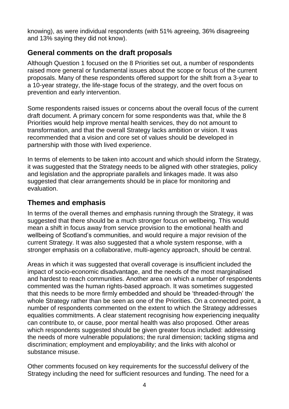knowing), as were individual respondents (with 51% agreeing, 36% disagreeing and 13% saying they did not know).

## **General comments on the draft proposals**

Although Question 1 focused on the 8 Priorities set out, a number of respondents raised more general or fundamental issues about the scope or focus of the current proposals. Many of these respondents offered support for the shift from a 3-year to a 10-year strategy, the life-stage focus of the strategy, and the overt focus on prevention and early intervention.

Some respondents raised issues or concerns about the overall focus of the current draft document. A primary concern for some respondents was that, while the 8 Priorities would help improve mental health services, they do not amount to transformation, and that the overall Strategy lacks ambition or vision. It was recommended that a vision and core set of values should be developed in partnership with those with lived experience.

In terms of elements to be taken into account and which should inform the Strategy, it was suggested that the Strategy needs to be aligned with other strategies, policy and legislation and the appropriate parallels and linkages made. It was also suggested that clear arrangements should be in place for monitoring and evaluation.

## **Themes and emphasis**

In terms of the overall themes and emphasis running through the Strategy, it was suggested that there should be a much stronger focus on wellbeing. This would mean a shift in focus away from service provision to the emotional health and wellbeing of Scotland"s communities, and would require a major revision of the current Strategy. It was also suggested that a whole system response, with a stronger emphasis on a collaborative, multi-agency approach, should be central.

Areas in which it was suggested that overall coverage is insufficient included the impact of socio-economic disadvantage, and the needs of the most marginalised and hardest to reach communities. Another area on which a number of respondents commented was the human rights-based approach. It was sometimes suggested that this needs to be more firmly embedded and should be "threaded-through" the whole Strategy rather than be seen as one of the Priorities. On a connected point, a number of respondents commented on the extent to which the Strategy addresses equalities commitments. A clear statement recognising how experiencing inequality can contribute to, or cause, poor mental health was also proposed. Other areas which respondents suggested should be given greater focus included: addressing the needs of more vulnerable populations; the rural dimension; tackling stigma and discrimination; employment and employability; and the links with alcohol or substance misuse.

Other comments focused on key requirements for the successful delivery of the Strategy including the need for sufficient resources and funding. The need for a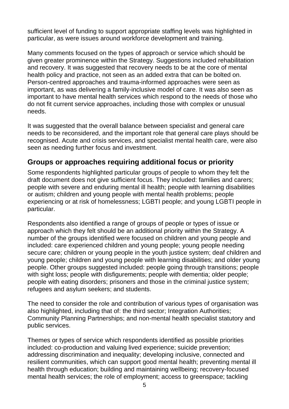sufficient level of funding to support appropriate staffing levels was highlighted in particular, as were issues around workforce development and training.

Many comments focused on the types of approach or service which should be given greater prominence within the Strategy. Suggestions included rehabilitation and recovery. It was suggested that recovery needs to be at the core of mental health policy and practice, not seen as an added extra that can be bolted on. Person-centred approaches and trauma-informed approaches were seen as important, as was delivering a family-inclusive model of care. It was also seen as important to have mental health services which respond to the needs of those who do not fit current service approaches, including those with complex or unusual needs.

It was suggested that the overall balance between specialist and general care needs to be reconsidered, and the important role that general care plays should be recognised. Acute and crisis services, and specialist mental health care, were also seen as needing further focus and investment.

## **Groups or approaches requiring additional focus or priority**

Some respondents highlighted particular groups of people to whom they felt the draft document does not give sufficient focus. They included: families and carers; people with severe and enduring mental ill health; people with learning disabilities or autism; children and young people with mental health problems; people experiencing or at risk of homelessness; LGBTI people; and young LGBTI people in particular.

Respondents also identified a range of groups of people or types of issue or approach which they felt should be an additional priority within the Strategy. A number of the groups identified were focused on children and young people and included: care experienced children and young people; young people needing secure care; children or young people in the youth justice system; deaf children and young people; children and young people with learning disabilities; and older young people. Other groups suggested included: people going through transitions; people with sight loss; people with disfigurements; people with dementia; older people; people with eating disorders; prisoners and those in the criminal justice system; refugees and asylum seekers; and students.

The need to consider the role and contribution of various types of organisation was also highlighted, including that of: the third sector; Integration Authorities; Community Planning Partnerships; and non-mental health specialist statutory and public services.

Themes or types of service which respondents identified as possible priorities included: co-production and valuing lived experience; suicide prevention; addressing discrimination and inequality; developing inclusive, connected and resilient communities, which can support good mental health; preventing mental ill health through education; building and maintaining wellbeing; recovery-focused mental health services; the role of employment; access to greenspace; tackling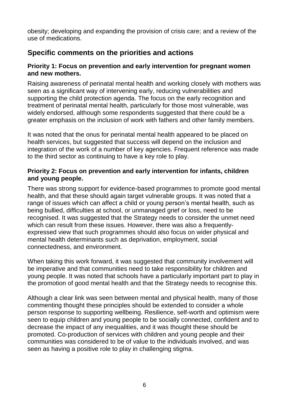obesity; developing and expanding the provision of crisis care; and a review of the use of medications.

# **Specific comments on the priorities and actions**

#### **Priority 1: Focus on prevention and early intervention for pregnant women and new mothers.**

Raising awareness of perinatal mental health and working closely with mothers was seen as a significant way of intervening early, reducing vulnerabilities and supporting the child protection agenda. The focus on the early recognition and treatment of perinatal mental health, particularly for those most vulnerable, was widely endorsed, although some respondents suggested that there could be a greater emphasis on the inclusion of work with fathers and other family members.

It was noted that the onus for perinatal mental health appeared to be placed on health services, but suggested that success will depend on the inclusion and integration of the work of a number of key agencies. Frequent reference was made to the third sector as continuing to have a key role to play.

#### **Priority 2: Focus on prevention and early intervention for infants, children and young people.**

There was strong support for evidence-based programmes to promote good mental health, and that these should again target vulnerable groups. It was noted that a range of issues which can affect a child or young person"s mental health, such as being bullied, difficulties at school, or unmanaged grief or loss, need to be recognised. It was suggested that the Strategy needs to consider the unmet need which can result from these issues. However, there was also a frequentlyexpressed view that such programmes should also focus on wider physical and mental health determinants such as deprivation, employment, social connectedness, and environment.

When taking this work forward, it was suggested that community involvement will be imperative and that communities need to take responsibility for children and young people. It was noted that schools have a particularly important part to play in the promotion of good mental health and that the Strategy needs to recognise this.

Although a clear link was seen between mental and physical health, many of those commenting thought these principles should be extended to consider a whole person response to supporting wellbeing. Resilience, self-worth and optimism were seen to equip children and young people to be socially connected, confident and to decrease the impact of any inequalities, and it was thought these should be promoted. Co-production of services with children and young people and their communities was considered to be of value to the individuals involved, and was seen as having a positive role to play in challenging stigma.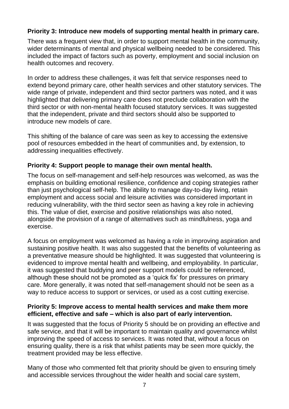#### **Priority 3: Introduce new models of supporting mental health in primary care.**

There was a frequent view that, in order to support mental health in the community, wider determinants of mental and physical wellbeing needed to be considered. This included the impact of factors such as poverty, employment and social inclusion on health outcomes and recovery.

In order to address these challenges, it was felt that service responses need to extend beyond primary care, other health services and other statutory services. The wide range of private, independent and third sector partners was noted, and it was highlighted that delivering primary care does not preclude collaboration with the third sector or with non-mental health focused statutory services. It was suggested that the independent, private and third sectors should also be supported to introduce new models of care.

This shifting of the balance of care was seen as key to accessing the extensive pool of resources embedded in the heart of communities and, by extension, to addressing inequalities effectively.

#### **Priority 4: Support people to manage their own mental health.**

The focus on self-management and self-help resources was welcomed, as was the emphasis on building emotional resilience, confidence and coping strategies rather than just psychological self-help. The ability to manage day-to-day living, retain employment and access social and leisure activities was considered important in reducing vulnerability, with the third sector seen as having a key role in achieving this. The value of diet, exercise and positive relationships was also noted, alongside the provision of a range of alternatives such as mindfulness, yoga and exercise.

A focus on employment was welcomed as having a role in improving aspiration and sustaining positive health. It was also suggested that the benefits of volunteering as a preventative measure should be highlighted. It was suggested that volunteering is evidenced to improve mental health and wellbeing, and employability. In particular, it was suggested that buddying and peer support models could be referenced, although these should not be promoted as a "quick fix" for pressures on primary care. More generally, it was noted that self-management should not be seen as a way to reduce access to support or services, or used as a cost cutting exercise.

#### **Priority 5: Improve access to mental health services and make them more efficient, effective and safe – which is also part of early intervention.**

It was suggested that the focus of Priority 5 should be on providing an effective and safe service, and that it will be important to maintain quality and governance whilst improving the speed of access to services. It was noted that, without a focus on ensuring quality, there is a risk that whilst patients may be seen more quickly, the treatment provided may be less effective.

Many of those who commented felt that priority should be given to ensuring timely and accessible services throughout the wider health and social care system,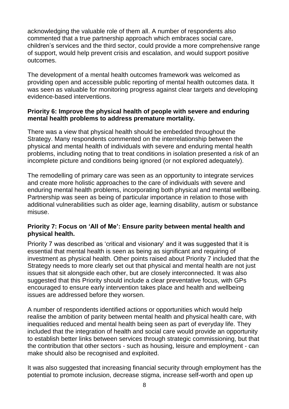acknowledging the valuable role of them all. A number of respondents also commented that a true partnership approach which embraces social care, children"s services and the third sector, could provide a more comprehensive range of support, would help prevent crisis and escalation, and would support positive outcomes.

The development of a mental health outcomes framework was welcomed as providing open and accessible public reporting of mental health outcomes data. It was seen as valuable for monitoring progress against clear targets and developing evidence-based interventions.

#### **Priority 6: Improve the physical health of people with severe and enduring mental health problems to address premature mortality.**

There was a view that physical health should be embedded throughout the Strategy. Many respondents commented on the interrelationship between the physical and mental health of individuals with severe and enduring mental health problems, including noting that to treat conditions in isolation presented a risk of an incomplete picture and conditions being ignored (or not explored adequately).

The remodelling of primary care was seen as an opportunity to integrate services and create more holistic approaches to the care of individuals with severe and enduring mental health problems, incorporating both physical and mental wellbeing. Partnership was seen as being of particular importance in relation to those with additional vulnerabilities such as older age, learning disability, autism or substance misuse.

#### **Priority 7: Focus on 'All of Me': Ensure parity between mental health and physical health.**

Priority 7 was described as "critical and visionary" and it was suggested that it is essential that mental health is seen as being as significant and requiring of investment as physical health. Other points raised about Priority 7 included that the Strategy needs to more clearly set out that physical and mental health are not just issues that sit alongside each other, but are closely interconnected. It was also suggested that this Priority should include a clear preventative focus, with GPs encouraged to ensure early intervention takes place and health and wellbeing issues are addressed before they worsen.

A number of respondents identified actions or opportunities which would help realise the ambition of parity between mental health and physical health care, with inequalities reduced and mental health being seen as part of everyday life. They included that the integration of health and social care would provide an opportunity to establish better links between services through strategic commissioning, but that the contribution that other sectors - such as housing, leisure and employment - can make should also be recognised and exploited.

It was also suggested that increasing financial security through employment has the potential to promote inclusion, decrease stigma, increase self-worth and open up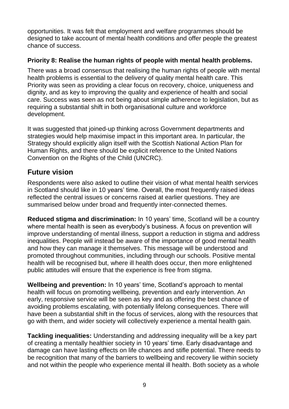opportunities. It was felt that employment and welfare programmes should be designed to take account of mental health conditions and offer people the greatest chance of success.

#### **Priority 8: Realise the human rights of people with mental health problems.**

There was a broad consensus that realising the human rights of people with mental health problems is essential to the delivery of quality mental health care. This Priority was seen as providing a clear focus on recovery, choice, uniqueness and dignity, and as key to improving the quality and experience of health and social care. Success was seen as not being about simple adherence to legislation, but as requiring a substantial shift in both organisational culture and workforce development.

It was suggested that joined-up thinking across Government departments and strategies would help maximise impact in this important area. In particular, the Strategy should explicitly align itself with the Scottish National Action Plan for Human Rights, and there should be explicit reference to the United Nations Convention on the Rights of the Child (UNCRC).

## **Future vision**

Respondents were also asked to outline their vision of what mental health services in Scotland should like in 10 years' time. Overall, the most frequently raised ideas reflected the central issues or concerns raised at earlier questions. They are summarised below under broad and frequently inter-connected themes.

**Reduced stigma and discrimination:** In 10 years' time, Scotland will be a country where mental health is seen as everybody's business. A focus on prevention will improve understanding of mental illness, support a reduction in stigma and address inequalities. People will instead be aware of the importance of good mental health and how they can manage it themselves. This message will be understood and promoted throughout communities, including through our schools. Positive mental health will be recognised but, where ill health does occur, then more enlightened public attitudes will ensure that the experience is free from stigma.

**Wellbeing and prevention:** In 10 years' time, Scotland's approach to mental health will focus on promoting wellbeing, prevention and early intervention. An early, responsive service will be seen as key and as offering the best chance of avoiding problems escalating, with potentially lifelong consequences. There will have been a substantial shift in the focus of services, along with the resources that go with them, and wider society will collectively experience a mental health gain.

**Tackling inequalities:** Understanding and addressing inequality will be a key part of creating a mentally healthier society in 10 years" time. Early disadvantage and damage can have lasting effects on life chances and stifle potential. There needs to be recognition that many of the barriers to wellbeing and recovery lie within society and not within the people who experience mental ill health. Both society as a whole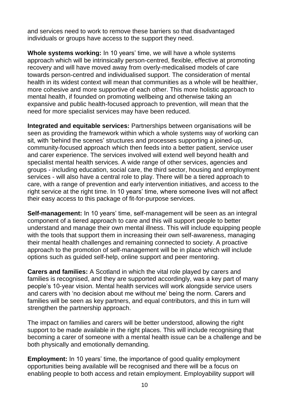and services need to work to remove these barriers so that disadvantaged individuals or groups have access to the support they need.

**Whole systems working:** In 10 years' time, we will have a whole systems approach which will be intrinsically person-centred, flexible, effective at promoting recovery and will have moved away from overly-medicalised models of care towards person-centred and individualised support. The consideration of mental health in its widest context will mean that communities as a whole will be healthier, more cohesive and more supportive of each other. This more holistic approach to mental health, if founded on promoting wellbeing and otherwise taking an expansive and public health-focused approach to prevention, will mean that the need for more specialist services may have been reduced.

**Integrated and equitable services:** Partnerships between organisations will be seen as providing the framework within which a whole systems way of working can sit, with 'behind the scenes' structures and processes supporting a joined-up, community-focused approach which then feeds into a better patient, service user and carer experience. The services involved will extend well beyond health and specialist mental health services. A wide range of other services, agencies and groups - including education, social care, the third sector, housing and employment services - will also have a central role to play. There will be a tiered approach to care, with a range of prevention and early intervention initiatives, and access to the right service at the right time. In 10 years' time, where someone lives will not affect their easy access to this package of fit-for-purpose services.

**Self-management:** In 10 years' time, self-management will be seen as an integral component of a tiered approach to care and this will support people to better understand and manage their own mental illness. This will include equipping people with the tools that support them in increasing their own self-awareness, managing their mental health challenges and remaining connected to society. A proactive approach to the promotion of self-management will be in place which will include options such as guided self-help, online support and peer mentoring.

**Carers and families:** A Scotland in which the vital role played by carers and families is recognised, and they are supported accordingly, was a key part of many people"s 10-year vision. Mental health services will work alongside service users and carers with "no decision about me without me" being the norm. Carers and families will be seen as key partners, and equal contributors, and this in turn will strengthen the partnership approach.

The impact on families and carers will be better understood, allowing the right support to be made available in the right places. This will include recognising that becoming a carer of someone with a mental health issue can be a challenge and be both physically and emotionally demanding.

**Employment:** In 10 years' time, the importance of good quality employment opportunities being available will be recognised and there will be a focus on enabling people to both access and retain employment. Employability support will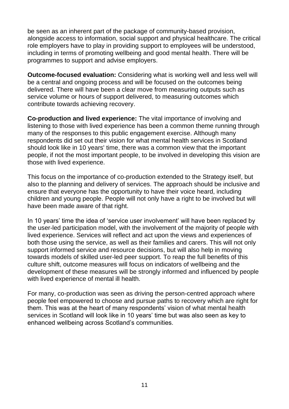be seen as an inherent part of the package of community-based provision, alongside access to information, social support and physical healthcare. The critical role employers have to play in providing support to employees will be understood, including in terms of promoting wellbeing and good mental health. There will be programmes to support and advise employers.

**Outcome-focused evaluation:** Considering what is working well and less well will be a central and ongoing process and will be focused on the outcomes being delivered. There will have been a clear move from measuring outputs such as service volume or hours of support delivered, to measuring outcomes which contribute towards achieving recovery.

**Co-production and lived experience:** The vital importance of involving and listening to those with lived experience has been a common theme running through many of the responses to this public engagement exercise. Although many respondents did set out their vision for what mental health services in Scotland should look like in 10 years' time, there was a common view that the important people, if not the most important people, to be involved in developing this vision are those with lived experience.

This focus on the importance of co-production extended to the Strategy itself, but also to the planning and delivery of services. The approach should be inclusive and ensure that everyone has the opportunity to have their voice heard, including children and young people. People will not only have a right to be involved but will have been made aware of that right.

In 10 years' time the idea of 'service user involvement' will have been replaced by the user-led participation model, with the involvement of the majority of people with lived experience. Services will reflect and act upon the views and experiences of both those using the service, as well as their families and carers. This will not only support informed service and resource decisions, but will also help in moving towards models of skilled user-led peer support. To reap the full benefits of this culture shift, outcome measures will focus on indicators of wellbeing and the development of these measures will be strongly informed and influenced by people with lived experience of mental ill health.

For many, co-production was seen as driving the person-centred approach where people feel empowered to choose and pursue paths to recovery which are right for them. This was at the heart of many respondents' vision of what mental health services in Scotland will look like in 10 years" time but was also seen as key to enhanced wellbeing across Scotland"s communities.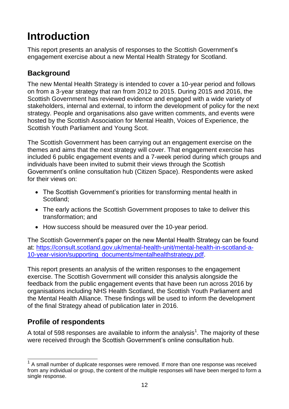# <span id="page-12-0"></span>**Introduction**

This report presents an analysis of responses to the Scottish Government"s engagement exercise about a new Mental Health Strategy for Scotland.

# <span id="page-12-1"></span>**Background**

The new Mental Health Strategy is intended to cover a 10-year period and follows on from a 3-year strategy that ran from 2012 to 2015. During 2015 and 2016, the Scottish Government has reviewed evidence and engaged with a wide variety of stakeholders, internal and external, to inform the development of policy for the next strategy. People and organisations also gave written comments, and events were hosted by the Scottish Association for Mental Health, Voices of Experience, the Scottish Youth Parliament and Young Scot.

The Scottish Government has been carrying out an engagement exercise on the themes and aims that the next strategy will cover. That engagement exercise has included 6 public engagement events and a 7-week period during which groups and individuals have been invited to submit their views through the Scottish Government"s online consultation hub (Citizen Space). Respondents were asked for their views on:

- The Scottish Government's priorities for transforming mental health in Scotland;
- The early actions the Scottish Government proposes to take to deliver this transformation; and
- How success should be measured over the 10-year period.

The Scottish Government's paper on the new Mental Health Strategy can be found at: [https://consult.scotland.gov.uk/mental-health-unit/mental-health-in-scotland-a-](https://consult.scotland.gov.uk/mental-health-unit/mental-health-in-scotland-a-10-year-vision/supporting_documents/mentalhealthstrategy.pdf)[10-year-vision/supporting\\_documents/mentalhealthstrategy.pdf.](https://consult.scotland.gov.uk/mental-health-unit/mental-health-in-scotland-a-10-year-vision/supporting_documents/mentalhealthstrategy.pdf)

This report presents an analysis of the written responses to the engagement exercise. The Scottish Government will consider this analysis alongside the feedback from the public engagement events that have been run across 2016 by organisations including NHS Health Scotland, the Scottish Youth Parliament and the Mental Health Alliance. These findings will be used to inform the development of the final Strategy ahead of publication later in 2016.

# <span id="page-12-2"></span>**Profile of respondents**

A total of 598 responses are available to inform the analysis<sup>1</sup>. The majority of these were received through the Scottish Government's online consultation hub.

 $\overline{1}$ 1 A small number of duplicate responses were removed. If more than one response was received from any individual or group, the content of the multiple responses will have been merged to form a single response.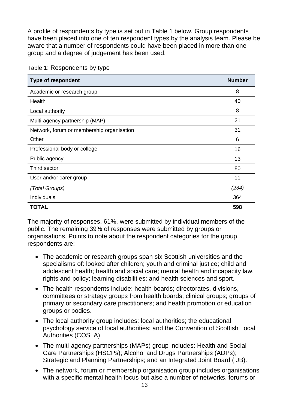A profile of respondents by type is set out in Table 1 below. Group respondents have been placed into one of ten respondent types by the analysis team. Please be aware that a number of respondents could have been placed in more than one group and a degree of judgement has been used.

| <b>Type of respondent</b>                 | <b>Number</b> |
|-------------------------------------------|---------------|
| Academic or research group                | 8             |
| Health                                    | 40            |
| Local authority                           | 8             |
| Multi-agency partnership (MAP)            | 21            |
| Network, forum or membership organisation | 31            |
| Other                                     | 6             |
| Professional body or college              | 16            |
| Public agency                             | 13            |
| Third sector                              | 80            |
| User and/or carer group                   | 11            |
| (Total Groups)                            | (234)         |
| Individuals                               | 364           |
| <b>TOTAL</b>                              | 598           |

Table 1: Respondents by type

The majority of responses, 61%, were submitted by individual members of the public. The remaining 39% of responses were submitted by groups or organisations. Points to note about the respondent categories for the group respondents are:

- The academic or research groups span six Scottish universities and the specialisms of: looked after children; youth and criminal justice; child and adolescent health; health and social care; mental health and incapacity law, rights and policy; learning disabilities; and health sciences and sport.
- The health respondents include: health boards; directorates, divisions, committees or strategy groups from health boards; clinical groups; groups of primary or secondary care practitioners; and health promotion or education groups or bodies.
- The local authority group includes: local authorities; the educational psychology service of local authorities; and the Convention of Scottish Local Authorities (COSLA)
- The multi-agency partnerships (MAPs) group includes: Health and Social Care Partnerships (HSCPs); Alcohol and Drugs Partnerships (ADPs); Strategic and Planning Partnerships; and an Integrated Joint Board (IJB).
- The network, forum or membership organisation group includes organisations with a specific mental health focus but also a number of networks, forums or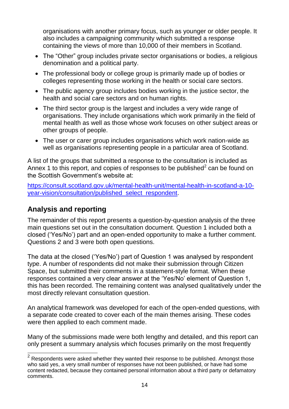organisations with another primary focus, such as younger or older people. It also includes a campaigning community which submitted a response containing the views of more than 10,000 of their members in Scotland.

- The "Other" group includes private sector organisations or bodies, a religious denomination and a political party.
- The professional body or college group is primarily made up of bodies or colleges representing those working in the health or social care sectors.
- The public agency group includes bodies working in the justice sector, the health and social care sectors and on human rights.
- The third sector group is the largest and includes a very wide range of organisations. They include organisations which work primarily in the field of mental health as well as those whose work focuses on other subject areas or other groups of people.
- The user or carer group includes organisations which work nation-wide as well as organisations representing people in a particular area of Scotland.

A list of the groups that submitted a response to the consultation is included as Annex 1 to this report, and copies of responses to be published<sup>2</sup> can be found on the Scottish Government's website at:

[https://consult.scotland.gov.uk/mental-health-unit/mental-health-in-scotland-a-10](https://consult.scotland.gov.uk/mental-health-unit/mental-health-in-scotland-a-10-year-vision/consultation/published_select_respondent) [year-vision/consultation/published\\_select\\_respondent.](https://consult.scotland.gov.uk/mental-health-unit/mental-health-in-scotland-a-10-year-vision/consultation/published_select_respondent)

## <span id="page-14-0"></span>**Analysis and reporting**

The remainder of this report presents a question-by-question analysis of the three main questions set out in the consultation document. Question 1 included both a closed ("Yes/No") part and an open-ended opportunity to make a further comment. Questions 2 and 3 were both open questions.

The data at the closed ("Yes/No") part of Question 1 was analysed by respondent type. A number of respondents did not make their submission through Citizen Space, but submitted their comments in a statement-style format. When these responses contained a very clear answer at the "Yes/No" element of Question 1, this has been recorded. The remaining content was analysed qualitatively under the most directly relevant consultation question.

An analytical framework was developed for each of the open-ended questions, with a separate code created to cover each of the main themes arising. These codes were then applied to each comment made.

Many of the submissions made were both lengthy and detailed, and this report can only present a summary analysis which focuses primarily on the most frequently

<sup>————————————————————&</sup>lt;br><sup>2</sup> Respondents were asked whether they wanted their response to be published. Amongst those who said yes, a very small number of responses have not been published, or have had some content redacted, because they contained personal information about a third party or defamatory comments.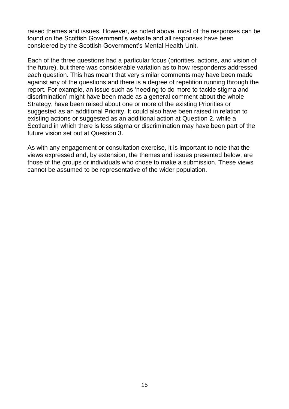raised themes and issues. However, as noted above, most of the responses can be found on the Scottish Government"s website and all responses have been considered by the Scottish Government"s Mental Health Unit.

Each of the three questions had a particular focus (priorities, actions, and vision of the future), but there was considerable variation as to how respondents addressed each question. This has meant that very similar comments may have been made against any of the questions and there is a degree of repetition running through the report. For example, an issue such as "needing to do more to tackle stigma and discrimination" might have been made as a general comment about the whole Strategy, have been raised about one or more of the existing Priorities or suggested as an additional Priority. It could also have been raised in relation to existing actions or suggested as an additional action at Question 2, while a Scotland in which there is less stigma or discrimination may have been part of the future vision set out at Question 3.

As with any engagement or consultation exercise, it is important to note that the views expressed and, by extension, the themes and issues presented below, are those of the groups or individuals who chose to make a submission. These views cannot be assumed to be representative of the wider population.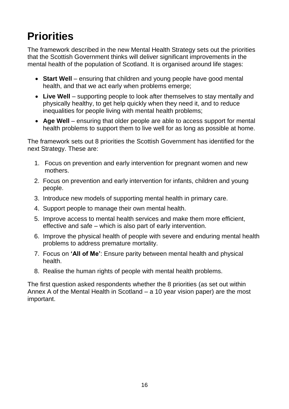# <span id="page-16-0"></span>**Priorities**

The framework described in the new Mental Health Strategy sets out the priorities that the Scottish Government thinks will deliver significant improvements in the mental health of the population of Scotland. It is organised around life stages:

- **Start Well** ensuring that children and young people have good mental health, and that we act early when problems emerge;
- Live Well supporting people to look after themselves to stay mentally and physically healthy, to get help quickly when they need it, and to reduce inequalities for people living with mental health problems;
- Age Well ensuring that older people are able to access support for mental health problems to support them to live well for as long as possible at home.

The framework sets out 8 priorities the Scottish Government has identified for the next Strategy. These are:

- 1. Focus on prevention and early intervention for pregnant women and new mothers.
- 2. Focus on prevention and early intervention for infants, children and young people.
- 3. Introduce new models of supporting mental health in primary care.
- 4. Support people to manage their own mental health.
- 5. Improve access to mental health services and make them more efficient, effective and safe – which is also part of early intervention.
- 6. Improve the physical health of people with severe and enduring mental health problems to address premature mortality.
- 7. Focus on **'All of Me'**: Ensure parity between mental health and physical health.
- 8. Realise the human rights of people with mental health problems.

The first question asked respondents whether the 8 priorities (as set out within Annex A of the Mental Health in Scotland – a 10 year vision paper) are the most important.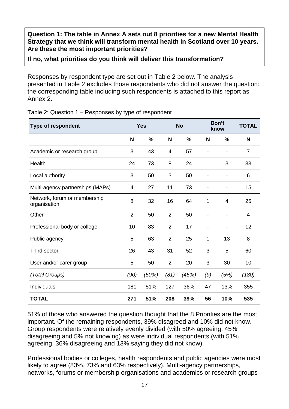**Question 1: The table in Annex A sets out 8 priorities for a new Mental Health Strategy that we think will transform mental health in Scotland over 10 years. Are these the most important priorities?**

#### **If no, what priorities do you think will deliver this transformation?**

Responses by respondent type are set out in Table 2 below. The analysis presented in Table 2 excludes those respondents who did not answer the question: the corresponding table including such respondents is attached to this report as Annex 2.

| <b>Type of respondent</b>                    | <b>Yes</b>     |       | <b>No</b>      |       | Don't<br>know |      | <b>TOTAL</b> |
|----------------------------------------------|----------------|-------|----------------|-------|---------------|------|--------------|
|                                              | N              | %     | N              | %     | N             | %    | N            |
| Academic or research group                   | 3              | 43    | 4              | 57    |               |      | 7            |
| Health                                       | 24             | 73    | 8              | 24    | $\mathbf{1}$  | 3    | 33           |
| Local authority                              | 3              | 50    | 3              | 50    |               |      | 6            |
| Multi-agency partnerships (MAPs)             | 4              | 27    | 11             | 73    |               |      | 15           |
| Network, forum or membership<br>organisation | 8              | 32    | 16             | 64    | 1             | 4    | 25           |
| Other                                        | $\overline{2}$ | 50    | 2              | 50    |               |      | 4            |
| Professional body or college                 | 10             | 83    | $\overline{2}$ | 17    |               |      | 12           |
| Public agency                                | 5              | 63    | $\overline{2}$ | 25    | $\mathbf{1}$  | 13   | 8            |
| Third sector                                 | 26             | 43    | 31             | 52    | 3             | 5    | 60           |
| User and/or carer group                      | 5              | 50    | $\overline{2}$ | 20    | 3             | 30   | 10           |
| (Total Groups)                               | (90)           | (50%) | (81)           | (45%) | (9)           | (5%) | (180)        |
| Individuals                                  | 181            | 51%   | 127            | 36%   | 47            | 13%  | 355          |
| <b>TOTAL</b>                                 | 271            | 51%   | 208            | 39%   | 56            | 10%  | 535          |

Table 2: Question 1 – Responses by type of respondent

51% of those who answered the question thought that the 8 Priorities are the most important. Of the remaining respondents, 39% disagreed and 10% did not know. Group respondents were relatively evenly divided (with 50% agreeing, 45% disagreeing and 5% not knowing) as were individual respondents (with 51% agreeing, 36% disagreeing and 13% saying they did not know).

Professional bodies or colleges, health respondents and public agencies were most likely to agree (83%, 73% and 63% respectively). Multi-agency partnerships, networks, forums or membership organisations and academics or research groups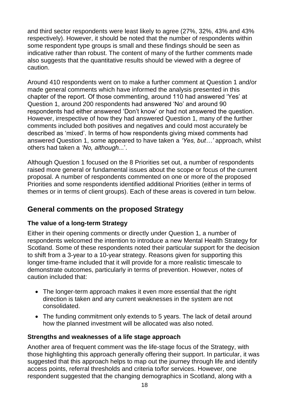and third sector respondents were least likely to agree (27%, 32%, 43% and 43% respectively). However, it should be noted that the number of respondents within some respondent type groups is small and these findings should be seen as indicative rather than robust. The content of many of the further comments made also suggests that the quantitative results should be viewed with a degree of caution.

Around 410 respondents went on to make a further comment at Question 1 and/or made general comments which have informed the analysis presented in this chapter of the report. Of those commenting, around 110 had answered "Yes" at Question 1, around 200 respondents had answered "No" and around 90 respondents had either answered "Don"t know" or had not answered the question. However, irrespective of how they had answered Question 1, many of the further comments included both positives and negatives and could most accurately be described as "mixed". In terms of how respondents giving mixed comments had answered Question 1, some appeared to have taken a *'Yes, but…'* approach, whilst others had taken a *'No, although...*".

Although Question 1 focused on the 8 Priorities set out, a number of respondents raised more general or fundamental issues about the scope or focus of the current proposal. A number of respondents commented on one or more of the proposed Priorities and some respondents identified additional Priorities (either in terms of themes or in terms of client groups). Each of these areas is covered in turn below.

## <span id="page-18-0"></span>**General comments on the proposed Strategy**

## **The value of a long-term Strategy**

Either in their opening comments or directly under Question 1, a number of respondents welcomed the intention to introduce a new Mental Health Strategy for Scotland. Some of these respondents noted their particular support for the decision to shift from a 3-year to a 10-year strategy. Reasons given for supporting this longer time-frame included that it will provide for a more realistic timescale to demonstrate outcomes, particularly in terms of prevention. However, notes of caution included that:

- The longer-term approach makes it even more essential that the right direction is taken and any current weaknesses in the system are not consolidated.
- The funding commitment only extends to 5 years. The lack of detail around how the planned investment will be allocated was also noted.

## **Strengths and weaknesses of a life stage approach**

Another area of frequent comment was the life-stage focus of the Strategy, with those highlighting this approach generally offering their support. In particular, it was suggested that this approach helps to map out the journey through life and identify access points, referral thresholds and criteria to/for services. However, one respondent suggested that the changing demographics in Scotland, along with a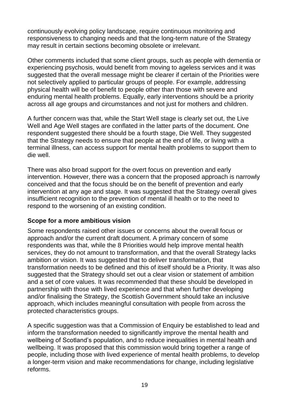continuously evolving policy landscape, require continuous monitoring and responsiveness to changing needs and that the long-term nature of the Strategy may result in certain sections becoming obsolete or irrelevant.

Other comments included that some client groups, such as people with dementia or experiencing psychosis, would benefit from moving to ageless services and it was suggested that the overall message might be clearer if certain of the Priorities were not selectively applied to particular groups of people. For example, addressing physical health will be of benefit to people other than those with severe and enduring mental health problems. Equally, early interventions should be a priority across all age groups and circumstances and not just for mothers and children.

A further concern was that, while the Start Well stage is clearly set out, the Live Well and Age Well stages are conflated in the latter parts of the document. One respondent suggested there should be a fourth stage, Die Well. They suggested that the Strategy needs to ensure that people at the end of life, or living with a terminal illness, can access support for mental health problems to support them to die well.

There was also broad support for the overt focus on prevention and early intervention. However, there was a concern that the proposed approach is narrowly conceived and that the focus should be on the benefit of prevention and early intervention at any age and stage. It was suggested that the Strategy overall gives insufficient recognition to the prevention of mental ill health or to the need to respond to the worsening of an existing condition.

#### **Scope for a more ambitious vision**

Some respondents raised other issues or concerns about the overall focus or approach and/or the current draft document. A primary concern of some respondents was that, while the 8 Priorities would help improve mental health services, they do not amount to transformation, and that the overall Strategy lacks ambition or vision. It was suggested that to deliver transformation, that transformation needs to be defined and this of itself should be a Priority. It was also suggested that the Strategy should set out a clear vision or statement of ambition and a set of core values. It was recommended that these should be developed in partnership with those with lived experience and that when further developing and/or finalising the Strategy, the Scottish Government should take an inclusive approach, which includes meaningful consultation with people from across the protected characteristics groups.

A specific suggestion was that a Commission of Enquiry be established to lead and inform the transformation needed to significantly improve the mental health and wellbeing of Scotland"s population, and to reduce inequalities in mental health and wellbeing. It was proposed that this commission would bring together a range of people, including those with lived experience of mental health problems, to develop a longer-term vision and make recommendations for change, including legislative reforms.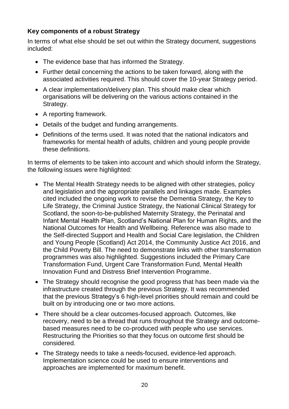#### **Key components of a robust Strategy**

In terms of what else should be set out within the Strategy document, suggestions included:

- The evidence base that has informed the Strategy.
- Further detail concerning the actions to be taken forward, along with the associated activities required. This should cover the 10-year Strategy period.
- A clear implementation/delivery plan. This should make clear which organisations will be delivering on the various actions contained in the Strategy.
- A reporting framework.
- Details of the budget and funding arrangements.
- Definitions of the terms used. It was noted that the national indicators and frameworks for mental health of adults, children and young people provide these definitions.

In terms of elements to be taken into account and which should inform the Strategy, the following issues were highlighted:

- The Mental Health Strategy needs to be aligned with other strategies, policy and legislation and the appropriate parallels and linkages made. Examples cited included the ongoing work to revise the Dementia Strategy, the Key to Life Strategy, the Criminal Justice Strategy, the National Clinical Strategy for Scotland, the soon-to-be-published Maternity Strategy, the Perinatal and Infant Mental Health Plan, Scotland"s National Plan for Human Rights, and the National Outcomes for Health and Wellbeing. Reference was also made to the Self-directed Support and Health and Social Care legislation, the Children and Young People (Scotland) Act 2014, the Community Justice Act 2016, and the Child Poverty Bill. The need to demonstrate links with other transformation programmes was also highlighted. Suggestions included the Primary Care Transformation Fund, Urgent Care Transformation Fund, Mental Health Innovation Fund and Distress Brief Intervention Programme.
- The Strategy should recognise the good progress that has been made via the infrastructure created through the previous Strategy. It was recommended that the previous Strategy"s 6 high-level priorities should remain and could be built on by introducing one or two more actions.
- There should be a clear outcomes-focused approach. Outcomes, like recovery, need to be a thread that runs throughout the Strategy and outcomebased measures need to be co-produced with people who use services. Restructuring the Priorities so that they focus on outcome first should be considered.
- The Strategy needs to take a needs-focused, evidence-led approach. Implementation science could be used to ensure interventions and approaches are implemented for maximum benefit.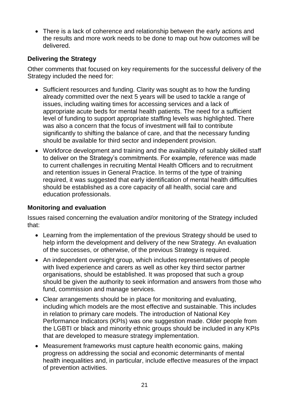There is a lack of coherence and relationship between the early actions and the results and more work needs to be done to map out how outcomes will be delivered.

#### **Delivering the Strategy**

Other comments that focused on key requirements for the successful delivery of the Strategy included the need for:

- Sufficient resources and funding. Clarity was sought as to how the funding already committed over the next 5 years will be used to tackle a range of issues, including waiting times for accessing services and a lack of appropriate acute beds for mental health patients. The need for a sufficient level of funding to support appropriate staffing levels was highlighted. There was also a concern that the focus of investment will fail to contribute significantly to shifting the balance of care, and that the necessary funding should be available for third sector and independent provision.
- Workforce development and training and the availability of suitably skilled staff to deliver on the Strategy"s commitments. For example, reference was made to current challenges in recruiting Mental Health Officers and to recruitment and retention issues in General Practice. In terms of the type of training required, it was suggested that early identification of mental health difficulties should be established as a core capacity of all health, social care and education professionals.

#### **Monitoring and evaluation**

Issues raised concerning the evaluation and/or monitoring of the Strategy included that:

- Learning from the implementation of the previous Strategy should be used to help inform the development and delivery of the new Strategy. An evaluation of the successes, or otherwise, of the previous Strategy is required.
- An independent oversight group, which includes representatives of people with lived experience and carers as well as other key third sector partner organisations, should be established. It was proposed that such a group should be given the authority to seek information and answers from those who fund, commission and manage services.
- Clear arrangements should be in place for monitoring and evaluating, including which models are the most effective and sustainable. This includes in relation to primary care models. The introduction of National Key Performance Indicators (KPIs) was one suggestion made. Older people from the LGBTI or black and minority ethnic groups should be included in any KPIs that are developed to measure strategy implementation.
- Measurement frameworks must capture health economic gains, making progress on addressing the social and economic determinants of mental health inequalities and, in particular, include effective measures of the impact of prevention activities.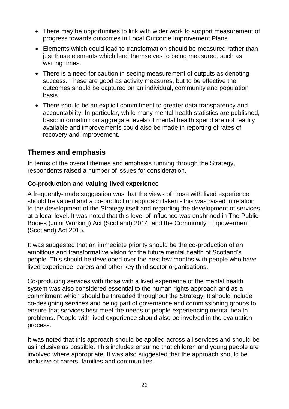- There may be opportunities to link with wider work to support measurement of progress towards outcomes in Local Outcome Improvement Plans.
- Elements which could lead to transformation should be measured rather than just those elements which lend themselves to being measured, such as waiting times.
- There is a need for caution in seeing measurement of outputs as denoting success. These are good as activity measures, but to be effective the outcomes should be captured on an individual, community and population basis.
- There should be an explicit commitment to greater data transparency and accountability. In particular, while many mental health statistics are published, basic information on aggregate levels of mental health spend are not readily available and improvements could also be made in reporting of rates of recovery and improvement.

## <span id="page-22-0"></span>**Themes and emphasis**

In terms of the overall themes and emphasis running through the Strategy, respondents raised a number of issues for consideration.

#### **Co-production and valuing lived experience**

A frequently-made suggestion was that the views of those with lived experience should be valued and a co-production approach taken - this was raised in relation to the development of the Strategy itself and regarding the development of services at a local level. It was noted that this level of influence was enshrined in The Public Bodies (Joint Working) Act (Scotland) 2014, and the Community Empowerment (Scotland) Act 2015.

It was suggested that an immediate priority should be the co-production of an ambitious and transformative vision for the future mental health of Scotland"s people. This should be developed over the next few months with people who have lived experience, carers and other key third sector organisations.

Co-producing services with those with a lived experience of the mental health system was also considered essential to the human rights approach and as a commitment which should be threaded throughout the Strategy. It should include co-designing services and being part of governance and commissioning groups to ensure that services best meet the needs of people experiencing mental health problems. People with lived experience should also be involved in the evaluation process.

It was noted that this approach should be applied across all services and should be as inclusive as possible. This includes ensuring that children and young people are involved where appropriate. It was also suggested that the approach should be inclusive of carers, families and communities.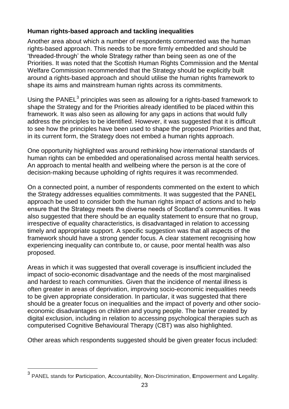## **Human rights-based approach and tackling inequalities**

Another area about which a number of respondents commented was the human rights-based approach. This needs to be more firmly embedded and should be "threaded-through" the whole Strategy rather than being seen as one of the Priorities. It was noted that the Scottish Human Rights Commission and the Mental Welfare Commission recommended that the Strategy should be explicitly built around a rights-based approach and should utilise the human rights framework to shape its aims and mainstream human rights across its commitments.

Using the PANEL $^3$  principles was seen as allowing for a rights-based framework to shape the Strategy and for the Priorities already identified to be placed within this framework. It was also seen as allowing for any gaps in actions that would fully address the principles to be identified. However, it was suggested that it is difficult to see how the principles have been used to shape the proposed Priorities and that, in its current form, the Strategy does not embed a human rights approach.

One opportunity highlighted was around rethinking how international standards of human rights can be embedded and operationalised across mental health services. An approach to mental health and wellbeing where the person is at the core of decision-making because upholding of rights requires it was recommended.

On a connected point, a number of respondents commented on the extent to which the Strategy addresses equalities commitments. It was suggested that the PANEL approach be used to consider both the human rights impact of actions and to help ensure that the Strategy meets the diverse needs of Scotland"s communities. It was also suggested that there should be an equality statement to ensure that no group, irrespective of equality characteristics, is disadvantaged in relation to accessing timely and appropriate support. A specific suggestion was that all aspects of the framework should have a strong gender focus. A clear statement recognising how experiencing inequality can contribute to, or cause, poor mental health was also proposed.

Areas in which it was suggested that overall coverage is insufficient included the impact of socio-economic disadvantage and the needs of the most marginalised and hardest to reach communities. Given that the incidence of mental illness is often greater in areas of deprivation, improving socio-economic inequalities needs to be given appropriate consideration. In particular, it was suggested that there should be a greater focus on inequalities and the impact of poverty and other socioeconomic disadvantages on children and young people. The barrier created by digital exclusion, including in relation to accessing psychological therapies such as computerised Cognitive Behavioural Therapy (CBT) was also highlighted.

Other areas which respondents suggested should be given greater focus included:

 $\overline{a}$ 

<sup>3</sup> PANEL stands for **P**articipation, **A**ccountability, **N**on-Discrimination, **E**mpowerment and **L**egality.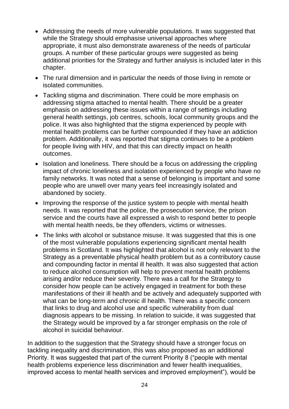- Addressing the needs of more vulnerable populations. It was suggested that while the Strategy should emphasise universal approaches where appropriate, it must also demonstrate awareness of the needs of particular groups. A number of these particular groups were suggested as being additional priorities for the Strategy and further analysis is included later in this chapter.
- The rural dimension and in particular the needs of those living in remote or isolated communities.
- Tackling stigma and discrimination. There could be more emphasis on addressing stigma attached to mental health. There should be a greater emphasis on addressing these issues within a range of settings including general health settings, job centres, schools, local community groups and the police. It was also highlighted that the stigma experienced by people with mental health problems can be further compounded if they have an addiction problem. Additionally, it was reported that stigma continues to be a problem for people living with HIV, and that this can directly impact on health outcomes.
- Isolation and loneliness. There should be a focus on addressing the crippling impact of chronic loneliness and isolation experienced by people who have no family networks. It was noted that a sense of belonging is important and some people who are unwell over many years feel increasingly isolated and abandoned by society.
- Improving the response of the justice system to people with mental health needs. It was reported that the police, the prosecution service, the prison service and the courts have all expressed a wish to respond better to people with mental health needs, be they offenders, victims or witnesses.
- The links with alcohol or substance misuse. It was suggested that this is one of the most vulnerable populations experiencing significant mental health problems in Scotland. It was highlighted that alcohol is not only relevant to the Strategy as a preventable physical health problem but as a contributory cause and compounding factor in mental ill health. It was also suggested that action to reduce alcohol consumption will help to prevent mental health problems arising and/or reduce their severity. There was a call for the Strategy to consider how people can be actively engaged in treatment for both these manifestations of their ill health and be actively and adequately supported with what can be long-term and chronic ill health. There was a specific concern that links to drug and alcohol use and specific vulnerability from dual diagnosis appears to be missing. In relation to suicide, it was suggested that the Strategy would be improved by a far stronger emphasis on the role of alcohol in suicidal behaviour.

In addition to the suggestion that the Strategy should have a stronger focus on tackling inequality and discrimination, this was also proposed as an additional Priority. It was suggested that part of the current Priority 8 ("people with mental health problems experience less discrimination and fewer health inequalities, improved access to mental health services and improved employment"), would be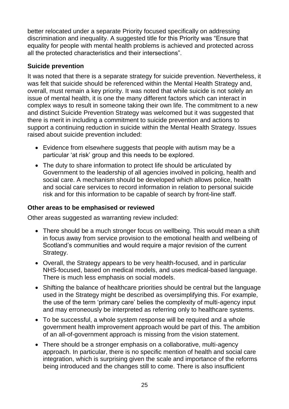better relocated under a separate Priority focused specifically on addressing discrimination and inequality. A suggested title for this Priority was "Ensure that equality for people with mental health problems is achieved and protected across all the protected characteristics and their intersections".

## **Suicide prevention**

It was noted that there is a separate strategy for suicide prevention. Nevertheless, it was felt that suicide should be referenced within the Mental Health Strategy and, overall, must remain a key priority. It was noted that while suicide is not solely an issue of mental health, it is one the many different factors which can interact in complex ways to result in someone taking their own life. The commitment to a new and distinct Suicide Prevention Strategy was welcomed but it was suggested that there is merit in including a commitment to suicide prevention and actions to support a continuing reduction in suicide within the Mental Health Strategy. Issues raised about suicide prevention included:

- Evidence from elsewhere suggests that people with autism may be a particular "at risk" group and this needs to be explored.
- The duty to share information to protect life should be articulated by Government to the leadership of all agencies involved in policing, health and social care. A mechanism should be developed which allows police, health and social care services to record information in relation to personal suicide risk and for this information to be capable of search by front-line staff.

#### **Other areas to be emphasised or reviewed**

Other areas suggested as warranting review included:

- There should be a much stronger focus on wellbeing. This would mean a shift in focus away from service provision to the emotional health and wellbeing of Scotland"s communities and would require a major revision of the current Strategy.
- Overall, the Strategy appears to be very health-focused, and in particular NHS-focused, based on medical models, and uses medical-based language. There is much less emphasis on social models.
- Shifting the balance of healthcare priorities should be central but the language used in the Strategy might be described as oversimplifying this. For example, the use of the term "primary care" belies the complexity of multi-agency input and may erroneously be interpreted as referring only to healthcare systems.
- To be successful, a whole system response will be required and a whole government health improvement approach would be part of this. The ambition of an all-of-government approach is missing from the vision statement.
- There should be a stronger emphasis on a collaborative, multi-agency approach. In particular, there is no specific mention of health and social care integration, which is surprising given the scale and importance of the reforms being introduced and the changes still to come. There is also insufficient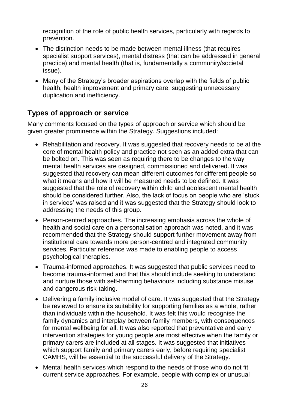recognition of the role of public health services, particularly with regards to prevention.

- The distinction needs to be made between mental illness (that requires specialist support services), mental distress (that can be addressed in general practice) and mental health (that is, fundamentally a community/societal issue).
- Many of the Strategy's broader aspirations overlap with the fields of public health, health improvement and primary care, suggesting unnecessary duplication and inefficiency.

## <span id="page-26-0"></span>**Types of approach or service**

Many comments focused on the types of approach or service which should be given greater prominence within the Strategy. Suggestions included:

- Rehabilitation and recovery. It was suggested that recovery needs to be at the core of mental health policy and practice not seen as an added extra that can be bolted on. This was seen as requiring there to be changes to the way mental health services are designed, commissioned and delivered. It was suggested that recovery can mean different outcomes for different people so what it means and how it will be measured needs to be defined. It was suggested that the role of recovery within child and adolescent mental health should be considered further. Also, the lack of focus on people who are "stuck in services' was raised and it was suggested that the Strategy should look to addressing the needs of this group.
- Person-centred approaches. The increasing emphasis across the whole of health and social care on a personalisation approach was noted, and it was recommended that the Strategy should support further movement away from institutional care towards more person-centred and integrated community services. Particular reference was made to enabling people to access psychological therapies.
- Trauma-informed approaches. It was suggested that public services need to become trauma-informed and that this should include seeking to understand and nurture those with self-harming behaviours including substance misuse and dangerous risk-taking.
- Delivering a family inclusive model of care. It was suggested that the Strategy be reviewed to ensure its suitability for supporting families as a whole, rather than individuals within the household. It was felt this would recognise the family dynamics and interplay between family members, with consequences for mental wellbeing for all. It was also reported that preventative and early intervention strategies for young people are most effective when the family or primary carers are included at all stages. It was suggested that initiatives which support family and primary carers early, before requiring specialist CAMHS, will be essential to the successful delivery of the Strategy.
- Mental health services which respond to the needs of those who do not fit current service approaches. For example, people with complex or unusual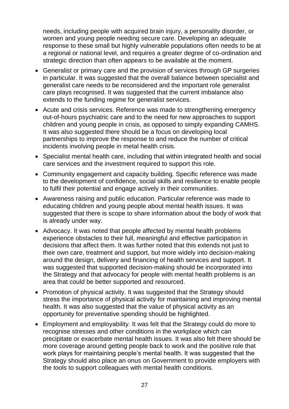needs, including people with acquired brain injury, a personality disorder, or women and young people needing secure care. Developing an adequate response to these small but highly vulnerable populations often needs to be at a regional or national level, and requires a greater degree of co-ordination and strategic direction than often appears to be available at the moment.

- Generalist or primary care and the provision of services through GP surgeries in particular. It was suggested that the overall balance between specialist and generalist care needs to be reconsidered and the important role generalist care plays recognised. It was suggested that the current imbalance also extends to the funding regime for generalist services.
- Acute and crisis services. Reference was made to strengthening emergency out-of-hours psychiatric care and to the need for new approaches to support children and young people in crisis, as opposed to simply expanding CAMHS. It was also suggested there should be a focus on developing local partnerships to improve the response to and reduce the number of critical incidents involving people in metal health crisis.
- Specialist mental health care, including that within integrated health and social care services and the investment required to support this role.
- Community engagement and capacity building. Specific reference was made to the development of confidence, social skills and resilience to enable people to fulfil their potential and engage actively in their communities.
- Awareness raising and public education. Particular reference was made to educating children and young people about mental health issues. It was suggested that there is scope to share information about the body of work that is already under way.
- Advocacy. It was noted that people affected by mental health problems experience obstacles to their full, meaningful and effective participation in decisions that affect them. It was further noted that this extends not just to their own care, treatment and support, but more widely into decision-making around the design, delivery and financing of health services and support. It was suggested that supported decision-making should be incorporated into the Strategy and that advocacy for people with mental health problems is an area that could be better supported and resourced.
- Promotion of physical activity. It was suggested that the Strategy should stress the importance of physical activity for maintaining and improving mental health. It was also suggested that the value of physical activity as an opportunity for preventative spending should be highlighted.
- Employment and employability. It was felt that the Strategy could do more to recognise stresses and other conditions in the workplace which can precipitate or exacerbate mental health issues. It was also felt there should be more coverage around getting people back to work and the positive role that work plays for maintaining people"s mental health. It was suggested that the Strategy should also place an onus on Government to provide employers with the tools to support colleagues with mental health conditions.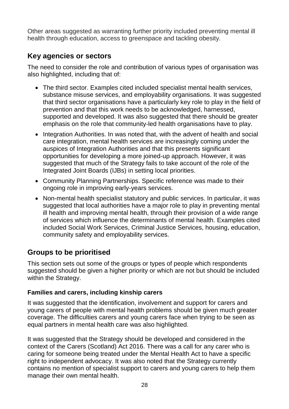Other areas suggested as warranting further priority included preventing mental ill health through education, access to greenspace and tackling obesity.

## <span id="page-28-0"></span>**Key agencies or sectors**

The need to consider the role and contribution of various types of organisation was also highlighted, including that of:

- The third sector. Examples cited included specialist mental health services, substance misuse services, and employability organisations. It was suggested that third sector organisations have a particularly key role to play in the field of prevention and that this work needs to be acknowledged, harnessed, supported and developed. It was also suggested that there should be greater emphasis on the role that community-led health organisations have to play.
- Integration Authorities. In was noted that, with the advent of health and social care integration, mental health services are increasingly coming under the auspices of Integration Authorities and that this presents significant opportunities for developing a more joined-up approach. However, it was suggested that much of the Strategy fails to take account of the role of the Integrated Joint Boards (IJBs) in setting local priorities.
- Community Planning Partnerships. Specific reference was made to their ongoing role in improving early-years services.
- Non-mental health specialist statutory and public services. In particular, it was suggested that local authorities have a major role to play in preventing mental ill health and improving mental health, through their provision of a wide range of services which influence the determinants of mental health. Examples cited included Social Work Services, Criminal Justice Services, housing, education, community safety and employability services.

# <span id="page-28-1"></span>**Groups to be prioritised**

This section sets out some of the groups or types of people which respondents suggested should be given a higher priority or which are not but should be included within the Strategy.

## **Families and carers, including kinship carers**

It was suggested that the identification, involvement and support for carers and young carers of people with mental health problems should be given much greater coverage. The difficulties carers and young carers face when trying to be seen as equal partners in mental health care was also highlighted.

It was suggested that the Strategy should be developed and considered in the context of the Carers (Scotland) Act 2016. There was a call for any carer who is caring for someone being treated under the Mental Health Act to have a specific right to independent advocacy. It was also noted that the Strategy currently contains no mention of specialist support to carers and young carers to help them manage their own mental health.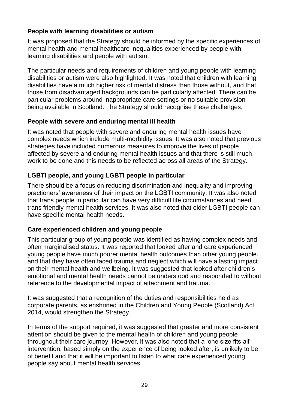#### **People with learning disabilities or autism**

It was proposed that the Strategy should be informed by the specific experiences of mental health and mental healthcare inequalities experienced by people with learning disabilities and people with autism.

The particular needs and requirements of children and young people with learning disabilities or autism were also highlighted. It was noted that children with learning disabilities have a much higher risk of mental distress than those without, and that those from disadvantaged backgrounds can be particularly affected. There can be particular problems around inappropriate care settings or no suitable provision being available in Scotland. The Strategy should recognise these challenges.

#### **People with severe and enduring mental ill health**

It was noted that people with severe and enduring mental health issues have complex needs which include multi-morbidity issues. It was also noted that previous strategies have included numerous measures to improve the lives of people affected by severe and enduring mental health issues and that there is still much work to be done and this needs to be reflected across all areas of the Strategy.

## **LGBTI people, and young LGBTI people in particular**

There should be a focus on reducing discrimination and inequality and improving practioners" awareness of their impact on the LGBTI community. It was also noted that trans people in particular can have very difficult life circumstances and need trans friendly mental health services. It was also noted that older LGBTI people can have specific mental health needs.

#### **Care experienced children and young people**

This particular group of young people was identified as having complex needs and often marginalised status. It was reported that looked after and care experienced young people have much poorer mental health outcomes than other young people. and that they have often faced trauma and neglect which will have a lasting impact on their mental health and wellbeing. It was suggested that looked after children"s emotional and mental health needs cannot be understood and responded to without reference to the developmental impact of attachment and trauma.

It was suggested that a recognition of the duties and responsibilities held as corporate parents, as enshrined in the Children and Young People (Scotland) Act 2014, would strengthen the Strategy.

In terms of the support required, it was suggested that greater and more consistent attention should be given to the mental health of children and young people throughout their care journey. However, it was also noted that a "one size fits all" intervention, based simply on the experience of being looked after, is unlikely to be of benefit and that it will be important to listen to what care experienced young people say about mental health services.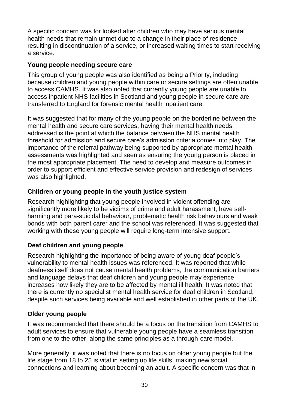A specific concern was for looked after children who may have serious mental health needs that remain unmet due to a change in their place of residence resulting in discontinuation of a service, or increased waiting times to start receiving a service.

#### **Young people needing secure care**

This group of young people was also identified as being a Priority, including because children and young people within care or secure settings are often unable to access CAMHS. It was also noted that currently young people are unable to access inpatient NHS facilities in Scotland and young people in secure care are transferred to England for forensic mental health inpatient care.

It was suggested that for many of the young people on the borderline between the mental health and secure care services, having their mental health needs addressed is the point at which the balance between the NHS mental health threshold for admission and secure care"s admission criteria comes into play. The importance of the referral pathway being supported by appropriate mental health assessments was highlighted and seen as ensuring the young person is placed in the most appropriate placement. The need to develop and measure outcomes in order to support efficient and effective service provision and redesign of services was also highlighted.

## **Children or young people in the youth justice system**

Research highlighting that young people involved in violent offending are significantly more likely to be victims of crime and adult harassment, have selfharming and para-suicidal behaviour, problematic health risk behaviours and weak bonds with both parent carer and the school was referenced. It was suggested that working with these young people will require long-term intensive support.

## **Deaf children and young people**

Research highlighting the importance of being aware of young deaf people"s vulnerability to mental health issues was referenced. It was reported that while deafness itself does not cause mental health problems, the communication barriers and language delays that deaf children and young people may experience increases how likely they are to be affected by mental ill health. It was noted that there is currently no specialist mental health service for deaf children in Scotland, despite such services being available and well established in other parts of the UK.

## **Older young people**

It was recommended that there should be a focus on the transition from CAMHS to adult services to ensure that vulnerable young people have a seamless transition from one to the other, along the same principles as a through-care model.

More generally, it was noted that there is no focus on older young people but the life stage from 18 to 25 is vital in setting up life skills, making new social connections and learning about becoming an adult. A specific concern was that in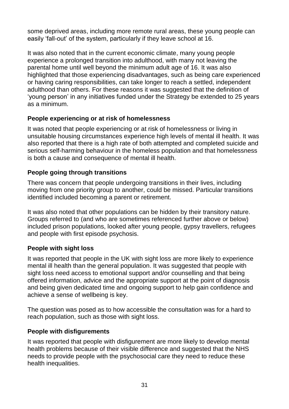some deprived areas, including more remote rural areas, these young people can easily "fall-out" of the system, particularly if they leave school at 16.

It was also noted that in the current economic climate, many young people experience a prolonged transition into adulthood, with many not leaving the parental home until well beyond the minimum adult age of 16. It was also highlighted that those experiencing disadvantages, such as being care experienced or having caring responsibilities, can take longer to reach a settled, independent adulthood than others. For these reasons it was suggested that the definition of "young person" in any initiatives funded under the Strategy be extended to 25 years as a minimum.

#### **People experiencing or at risk of homelessness**

It was noted that people experiencing or at risk of homelessness or living in unsuitable housing circumstances experience high levels of mental ill health. It was also reported that there is a high rate of both attempted and completed suicide and serious self-harming behaviour in the homeless population and that homelessness is both a cause and consequence of mental ill health.

## **People going through transitions**

There was concern that people undergoing transitions in their lives, including moving from one priority group to another, could be missed. Particular transitions identified included becoming a parent or retirement.

It was also noted that other populations can be hidden by their transitory nature. Groups referred to (and who are sometimes referenced further above or below) included prison populations, looked after young people, gypsy travellers, refugees and people with first episode psychosis.

## **People with sight loss**

It was reported that people in the UK with sight loss are more likely to experience mental ill health than the general population. It was suggested that people with sight loss need access to emotional support and/or counselling and that being offered information, advice and the appropriate support at the point of diagnosis and being given dedicated time and ongoing support to help gain confidence and achieve a sense of wellbeing is key.

The question was posed as to how accessible the consultation was for a hard to reach population, such as those with sight loss.

## **People with disfigurements**

It was reported that people with disfigurement are more likely to develop mental health problems because of their visible difference and suggested that the NHS needs to provide people with the psychosocial care they need to reduce these health inequalities.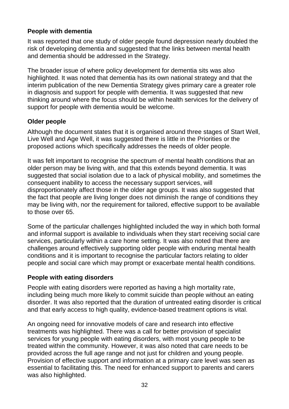#### **People with dementia**

It was reported that one study of older people found depression nearly doubled the risk of developing dementia and suggested that the links between mental health and dementia should be addressed in the Strategy.

The broader issue of where policy development for dementia sits was also highlighted. It was noted that dementia has its own national strategy and that the interim publication of the new Dementia Strategy gives primary care a greater role in diagnosis and support for people with dementia. It was suggested that new thinking around where the focus should be within health services for the delivery of support for people with dementia would be welcome.

## **Older people**

Although the document states that it is organised around three stages of Start Well, Live Well and Age Well, it was suggested there is little in the Priorities or the proposed actions which specifically addresses the needs of older people.

It was felt important to recognise the spectrum of mental health conditions that an older person may be living with, and that this extends beyond dementia. It was suggested that social isolation due to a lack of physical mobility, and sometimes the consequent inability to access the necessary support services, will disproportionately affect those in the older age groups. It was also suggested that the fact that people are living longer does not diminish the range of conditions they may be living with, nor the requirement for tailored, effective support to be available to those over 65.

Some of the particular challenges highlighted included the way in which both formal and informal support is available to individuals when they start receiving social care services, particularly within a care home setting. It was also noted that there are challenges around effectively supporting older people with enduring mental health conditions and it is important to recognise the particular factors relating to older people and social care which may prompt or exacerbate mental health conditions.

#### **People with eating disorders**

People with eating disorders were reported as having a high mortality rate, including being much more likely to commit suicide than people without an eating disorder. It was also reported that the duration of untreated eating disorder is critical and that early access to high quality, evidence-based treatment options is vital.

An ongoing need for innovative models of care and research into effective treatments was highlighted. There was a call for better provision of specialist services for young people with eating disorders, with most young people to be treated within the community. However, it was also noted that care needs to be provided across the full age range and not just for children and young people. Provision of effective support and information at a primary care level was seen as essential to facilitating this. The need for enhanced support to parents and carers was also highlighted.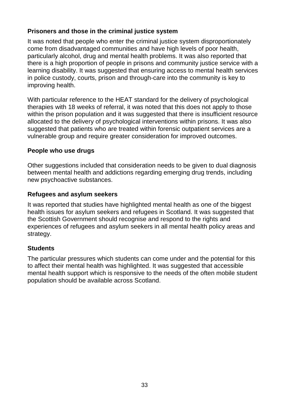## **Prisoners and those in the criminal justice system**

It was noted that people who enter the criminal justice system disproportionately come from disadvantaged communities and have high levels of poor health, particularly alcohol, drug and mental health problems. It was also reported that there is a high proportion of people in prisons and community justice service with a learning disability. It was suggested that ensuring access to mental health services in police custody, courts, prison and through-care into the community is key to improving health.

With particular reference to the HEAT standard for the delivery of psychological therapies with 18 weeks of referral, it was noted that this does not apply to those within the prison population and it was suggested that there is insufficient resource allocated to the delivery of psychological interventions within prisons. It was also suggested that patients who are treated within forensic outpatient services are a vulnerable group and require greater consideration for improved outcomes.

## **People who use drugs**

Other suggestions included that consideration needs to be given to dual diagnosis between mental health and addictions regarding emerging drug trends, including new psychoactive substances.

#### **Refugees and asylum seekers**

It was reported that studies have highlighted mental health as one of the biggest health issues for asylum seekers and refugees in Scotland. It was suggested that the Scottish Government should recognise and respond to the rights and experiences of refugees and asylum seekers in all mental health policy areas and strategy.

## **Students**

The particular pressures which students can come under and the potential for this to affect their mental health was highlighted. It was suggested that accessible mental health support which is responsive to the needs of the often mobile student population should be available across Scotland.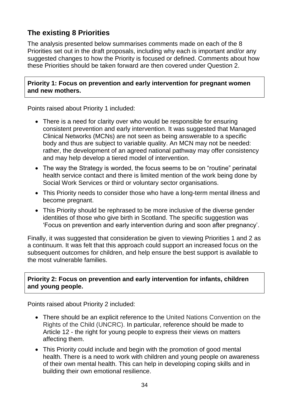# <span id="page-34-0"></span>**The existing 8 Priorities**

The analysis presented below summarises comments made on each of the 8 Priorities set out in the draft proposals, including why each is important and/or any suggested changes to how the Priority is focused or defined. Comments about how these Priorities should be taken forward are then covered under Question 2.

**Priority 1: Focus on prevention and early intervention for pregnant women and new mothers.**

Points raised about Priority 1 included:

- There is a need for clarity over who would be responsible for ensuring consistent prevention and early intervention. It was suggested that Managed Clinical Networks (MCNs) are not seen as being answerable to a specific body and thus are subject to variable quality. An MCN may not be needed: rather, the development of an agreed national pathway may offer consistency and may help develop a tiered model of intervention.
- The way the Strategy is worded, the focus seems to be on "routine" perinatal health service contact and there is limited mention of the work being done by Social Work Services or third or voluntary sector organisations.
- This Priority needs to consider those who have a long-term mental illness and become pregnant.
- This Priority should be rephrased to be more inclusive of the diverse gender identities of those who give birth in Scotland. The specific suggestion was "Focus on prevention and early intervention during and soon after pregnancy".

Finally, it was suggested that consideration be given to viewing Priorities 1 and 2 as a continuum. It was felt that this approach could support an increased focus on the subsequent outcomes for children, and help ensure the best support is available to the most vulnerable families.

#### **Priority 2: Focus on prevention and early intervention for infants, children and young people.**

Points raised about Priority 2 included:

- There should be an explicit reference to the United Nations Convention on the Rights of the Child (UNCRC). In particular, reference should be made to Article 12 - the right for young people to express their views on matters affecting them.
- This Priority could include and begin with the promotion of good mental health. There is a need to work with children and young people on awareness of their own mental health. This can help in developing coping skills and in building their own emotional resilience.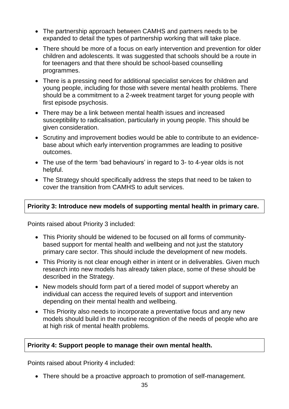- The partnership approach between CAMHS and partners needs to be expanded to detail the types of partnership working that will take place.
- There should be more of a focus on early intervention and prevention for older children and adolescents. It was suggested that schools should be a route in for teenagers and that there should be school-based counselling programmes.
- There is a pressing need for additional specialist services for children and young people, including for those with severe mental health problems. There should be a commitment to a 2-week treatment target for young people with first episode psychosis.
- There may be a link between mental health issues and increased susceptibility to radicalisation, particularly in young people. This should be given consideration.
- Scrutiny and improvement bodies would be able to contribute to an evidencebase about which early intervention programmes are leading to positive outcomes.
- The use of the term 'bad behaviours' in regard to 3- to 4-year olds is not helpful.
- The Strategy should specifically address the steps that need to be taken to cover the transition from CAMHS to adult services.

## **Priority 3: Introduce new models of supporting mental health in primary care.**

Points raised about Priority 3 included:

- This Priority should be widened to be focused on all forms of communitybased support for mental health and wellbeing and not just the statutory primary care sector. This should include the development of new models.
- This Priority is not clear enough either in intent or in deliverables. Given much research into new models has already taken place, some of these should be described in the Strategy.
- New models should form part of a tiered model of support whereby an individual can access the required levels of support and intervention depending on their mental health and wellbeing.
- This Priority also needs to incorporate a preventative focus and any new models should build in the routine recognition of the needs of people who are at high risk of mental health problems.

#### **Priority 4: Support people to manage their own mental health.**

Points raised about Priority 4 included:

• There should be a proactive approach to promotion of self-management.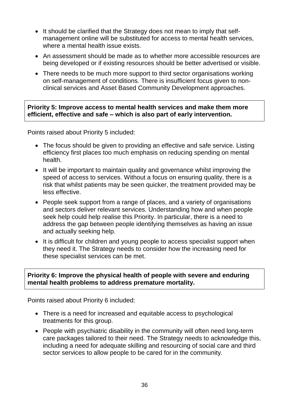- It should be clarified that the Strategy does not mean to imply that selfmanagement online will be substituted for access to mental health services, where a mental health issue exists.
- An assessment should be made as to whether more accessible resources are being developed or if existing resources should be better advertised or visible.
- There needs to be much more support to third sector organisations working on self-management of conditions. There is insufficient focus given to nonclinical services and Asset Based Community Development approaches.

**Priority 5: Improve access to mental health services and make them more efficient, effective and safe – which is also part of early intervention.**

Points raised about Priority 5 included:

- The focus should be given to providing an effective and safe service. Listing efficiency first places too much emphasis on reducing spending on mental health.
- It will be important to maintain quality and governance whilst improving the speed of access to services. Without a focus on ensuring quality, there is a risk that whilst patients may be seen quicker, the treatment provided may be less effective.
- People seek support from a range of places, and a variety of organisations and sectors deliver relevant services. Understanding how and when people seek help could help realise this Priority. In particular, there is a need to address the gap between people identifying themselves as having an issue and actually seeking help.
- It is difficult for children and young people to access specialist support when they need it. The Strategy needs to consider how the increasing need for these specialist services can be met.

#### **Priority 6: Improve the physical health of people with severe and enduring mental health problems to address premature mortality.**

Points raised about Priority 6 included:

- There is a need for increased and equitable access to psychological treatments for this group.
- People with psychiatric disability in the community will often need long-term care packages tailored to their need. The Strategy needs to acknowledge this, including a need for adequate skilling and resourcing of social care and third sector services to allow people to be cared for in the community.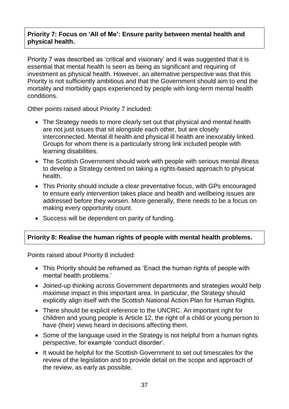#### **Priority 7: Focus on 'All of Me': Ensure parity between mental health and physical health.**

Priority 7 was described as 'critical and visionary' and it was suggested that it is essential that mental health is seen as being as significant and requiring of investment as physical health. However, an alternative perspective was that this Priority is not sufficiently ambitious and that the Government should aim to end the mortality and morbidity gaps experienced by people with long-term mental health conditions.

Other points raised about Priority 7 included:

- The Strategy needs to more clearly set out that physical and mental health are not just issues that sit alongside each other, but are closely interconnected. Mental ill health and physical ill health are inexorably linked. Groups for whom there is a particularly strong link included people with learning disabilities.
- The Scottish Government should work with people with serious mental illness to develop a Strategy centred on taking a rights-based approach to physical health.
- This Priority should include a clear preventative focus, with GPs encouraged to ensure early intervention takes place and health and wellbeing issues are addressed before they worsen. More generally, there needs to be a focus on making every opportunity count.
- Success will be dependent on parity of funding.

#### **Priority 8: Realise the human rights of people with mental health problems.**

Points raised about Priority 8 included:

- This Priority should be reframed as "Enact the human rights of people with mental health problems.'
- Joined-up thinking across Government departments and strategies would help maximise impact in this important area. In particular, the Strategy should explicitly align itself with the Scottish National Action Plan for Human Rights.
- There should be explicit reference to the UNCRC. An important right for children and young people is Article 12, the right of a child or young person to have (their) views heard in decisions affecting them.
- Some of the language used in the Strategy is not helpful from a human rights perspective, for example "conduct disorder".
- It would be helpful for the Scottish Government to set out timescales for the review of the legislation and to provide detail on the scope and approach of the review, as early as possible.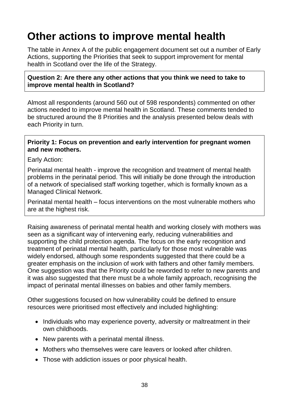# **Other actions to improve mental health**

The table in Annex A of the public engagement document set out a number of Early Actions, supporting the Priorities that seek to support improvement for mental health in Scotland over the life of the Strategy.

#### **Question 2: Are there any other actions that you think we need to take to improve mental health in Scotland?**

Almost all respondents (around 560 out of 598 respondents) commented on other actions needed to improve mental health in Scotland. These comments tended to be structured around the 8 Priorities and the analysis presented below deals with each Priority in turn.

#### **Priority 1: Focus on prevention and early intervention for pregnant women and new mothers.**

Early Action:

Perinatal mental health - improve the recognition and treatment of mental health problems in the perinatal period. This will initially be done through the introduction of a network of specialised staff working together, which is formally known as a Managed Clinical Network.

Perinatal mental health – focus interventions on the most vulnerable mothers who are at the highest risk.

Raising awareness of perinatal mental health and working closely with mothers was seen as a significant way of intervening early, reducing vulnerabilities and supporting the child protection agenda. The focus on the early recognition and treatment of perinatal mental health, particularly for those most vulnerable was widely endorsed, although some respondents suggested that there could be a greater emphasis on the inclusion of work with fathers and other family members. One suggestion was that the Priority could be reworded to refer to new parents and it was also suggested that there must be a whole family approach, recognising the impact of perinatal mental illnesses on babies and other family members.

Other suggestions focused on how vulnerability could be defined to ensure resources were prioritised most effectively and included highlighting:

- Individuals who may experience poverty, adversity or maltreatment in their own childhoods.
- New parents with a perinatal mental illness.
- Mothers who themselves were care leavers or looked after children.
- Those with addiction issues or poor physical health.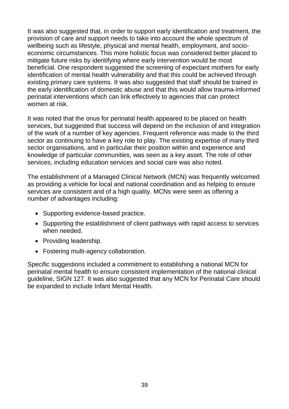It was also suggested that, in order to support early identification and treatment, the provision of care and support needs to take into account the whole spectrum of wellbeing such as lifestyle, physical and mental health, employment, and socioeconomic circumstances. This more holistic focus was considered better placed to mitigate future risks by identifying where early intervention would be most beneficial. One respondent suggested the screening of expectant mothers for early identification of mental health vulnerability and that this could be achieved through existing primary care systems. It was also suggested that staff should be trained in the early identification of domestic abuse and that this would allow trauma-informed perinatal interventions which can link effectively to agencies that can protect women at risk.

It was noted that the onus for perinatal health appeared to be placed on health services, but suggested that success will depend on the inclusion of and integration of the work of a number of key agencies. Frequent reference was made to the third sector as continuing to have a key role to play. The existing expertise of many third sector organisations, and in particular their position within and experience and knowledge of particular communities, was seen as a key asset. The role of other services, including education services and social care was also noted.

The establishment of a Managed Clinical Network (MCN) was frequently welcomed as providing a vehicle for local and national coordination and as helping to ensure services are consistent and of a high quality. MCNs were seen as offering a number of advantages including:

- Supporting evidence-based practice.
- Supporting the establishment of client pathways with rapid access to services when needed.
- Providing leadership.
- Fostering multi-agency collaboration.

Specific suggestions included a commitment to establishing a national MCN for perinatal mental health to ensure consistent implementation of the national clinical guideline, SIGN 127. It was also suggested that any MCN for Perinatal Care should be expanded to include Infant Mental Health.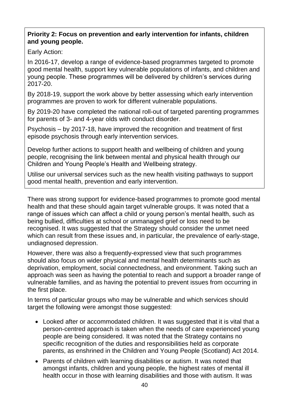#### **Priority 2: Focus on prevention and early intervention for infants, children and young people.**

#### Early Action:

In 2016-17, develop a range of evidence-based programmes targeted to promote good mental health, support key vulnerable populations of infants, and children and young people. These programmes will be delivered by children"s services during 2017-20.

By 2018-19, support the work above by better assessing which early intervention programmes are proven to work for different vulnerable populations.

By 2019-20 have completed the national roll-out of targeted parenting programmes for parents of 3- and 4-year olds with conduct disorder.

Psychosis – by 2017-18, have improved the recognition and treatment of first episode psychosis through early intervention services.

Develop further actions to support health and wellbeing of children and young people, recognising the link between mental and physical health through our Children and Young People"s Health and Wellbeing strategy.

Utilise our universal services such as the new health visiting pathways to support good mental health, prevention and early intervention.

There was strong support for evidence-based programmes to promote good mental health and that these should again target vulnerable groups. It was noted that a range of issues which can affect a child or young person"s mental health, such as being bullied, difficulties at school or unmanaged grief or loss need to be recognised. It was suggested that the Strategy should consider the unmet need which can result from these issues and, in particular, the prevalence of early-stage, undiagnosed depression.

However, there was also a frequently-expressed view that such programmes should also focus on wider physical and mental health determinants such as deprivation, employment, social connectedness, and environment. Taking such an approach was seen as having the potential to reach and support a broader range of vulnerable families, and as having the potential to prevent issues from occurring in the first place.

In terms of particular groups who may be vulnerable and which services should target the following were amongst those suggested:

- Looked after or accommodated children. It was suggested that it is vital that a person-centred approach is taken when the needs of care experienced young people are being considered. It was noted that the Strategy contains no specific recognition of the duties and responsibilities held as corporate parents, as enshrined in the Children and Young People (Scotland) Act 2014.
- Parents of children with learning disabilities or autism. It was noted that amongst infants, children and young people, the highest rates of mental ill health occur in those with learning disabilities and those with autism. It was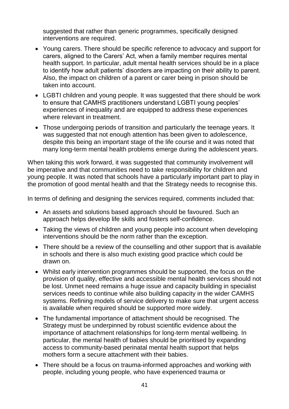suggested that rather than generic programmes, specifically designed interventions are required.

- Young carers. There should be specific reference to advocacy and support for carers, aligned to the Carers" Act, when a family member requires mental health support. In particular, adult mental health services should be in a place to identify how adult patients" disorders are impacting on their ability to parent. Also, the impact on children of a parent or carer being in prison should be taken into account.
- LGBTI children and young people. It was suggested that there should be work to ensure that CAMHS practitioners understand LGBTI young peoples" experiences of inequality and are equipped to address these experiences where relevant in treatment.
- Those undergoing periods of transition and particularly the teenage years. It was suggested that not enough attention has been given to adolescence, despite this being an important stage of the life course and it was noted that many long-term mental health problems emerge during the adolescent years.

When taking this work forward, it was suggested that community involvement will be imperative and that communities need to take responsibility for children and young people. It was noted that schools have a particularly important part to play in the promotion of good mental health and that the Strategy needs to recognise this.

In terms of defining and designing the services required, comments included that:

- An assets and solutions based approach should be favoured. Such an approach helps develop life skills and fosters self-confidence.
- Taking the views of children and young people into account when developing interventions should be the norm rather than the exception.
- There should be a review of the counselling and other support that is available in schools and there is also much existing good practice which could be drawn on.
- Whilst early intervention programmes should be supported, the focus on the provision of quality, effective and accessible mental health services should not be lost. Unmet need remains a huge issue and capacity building in specialist services needs to continue while also building capacity in the wider CAMHS systems. Refining models of service delivery to make sure that urgent access is available when required should be supported more widely.
- The fundamental importance of attachment should be recognised. The Strategy must be underpinned by robust scientific evidence about the importance of attachment relationships for long-term mental wellbeing. In particular, the mental health of babies should be prioritised by expanding access to community-based perinatal mental health support that helps mothers form a secure attachment with their babies.
- There should be a focus on trauma-informed approaches and working with people, including young people, who have experienced trauma or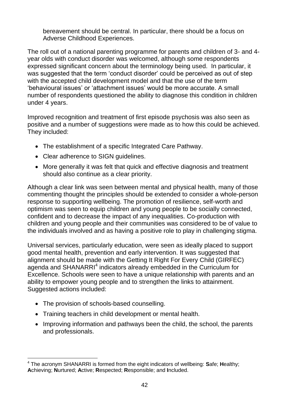bereavement should be central. In particular, there should be a focus on Adverse Childhood Experiences.

The roll out of a national parenting programme for parents and children of 3- and 4 year olds with conduct disorder was welcomed, although some respondents expressed significant concern about the terminology being used. In particular, it was suggested that the term 'conduct disorder' could be perceived as out of step with the accepted child development model and that the use of the term "behavioural issues" or "attachment issues" would be more accurate. A small number of respondents questioned the ability to diagnose this condition in children under 4 years.

Improved recognition and treatment of first episode psychosis was also seen as positive and a number of suggestions were made as to how this could be achieved. They included:

- The establishment of a specific Integrated Care Pathway.
- Clear adherence to SIGN guidelines.
- More generally it was felt that quick and effective diagnosis and treatment should also continue as a clear priority.

Although a clear link was seen between mental and physical health, many of those commenting thought the principles should be extended to consider a whole-person response to supporting wellbeing. The promotion of resilience, self-worth and optimism was seen to equip children and young people to be socially connected, confident and to decrease the impact of any inequalities. Co-production with children and young people and their communities was considered to be of value to the individuals involved and as having a positive role to play in challenging stigma.

Universal services, particularly education, were seen as ideally placed to support good mental health, prevention and early intervention. It was suggested that alignment should be made with the Getting It Right For Every Child (GIRFEC) agenda and SHANARRI<sup>4</sup> indicators already embedded in the Curriculum for Excellence. Schools were seen to have a unique relationship with parents and an ability to empower young people and to strengthen the links to attainment. Suggested actions included:

- The provision of schools-based counselling.
- Training teachers in child development or mental health.
- Improving information and pathways been the child, the school, the parents and professionals.

 $\overline{a}$ <sup>4</sup> The acronym SHANARRI is formed from the eight indicators of wellbeing: **S**afe; **H**ealthy; **A**chieving; **N**urtured; **A**ctive; **R**espected; **R**esponsible; and **I**ncluded.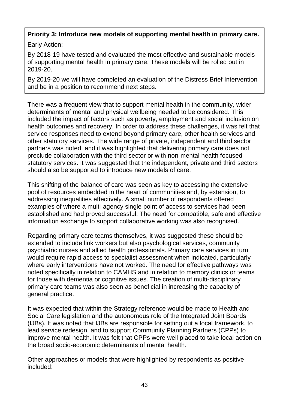## **Priority 3: Introduce new models of supporting mental health in primary care.**

Early Action:

By 2018-19 have tested and evaluated the most effective and sustainable models of supporting mental health in primary care. These models will be rolled out in 2019-20.

By 2019-20 we will have completed an evaluation of the Distress Brief Intervention and be in a position to recommend next steps.

There was a frequent view that to support mental health in the community, wider determinants of mental and physical wellbeing needed to be considered. This included the impact of factors such as poverty, employment and social inclusion on health outcomes and recovery. In order to address these challenges, it was felt that service responses need to extend beyond primary care, other health services and other statutory services. The wide range of private, independent and third sector partners was noted, and it was highlighted that delivering primary care does not preclude collaboration with the third sector or with non-mental health focused statutory services. It was suggested that the independent, private and third sectors should also be supported to introduce new models of care.

This shifting of the balance of care was seen as key to accessing the extensive pool of resources embedded in the heart of communities and, by extension, to addressing inequalities effectively. A small number of respondents offered examples of where a multi-agency single point of access to services had been established and had proved successful. The need for compatible, safe and effective information exchange to support collaborative working was also recognised.

Regarding primary care teams themselves, it was suggested these should be extended to include link workers but also psychological services, community psychiatric nurses and allied health professionals. Primary care services in turn would require rapid access to specialist assessment when indicated, particularly where early interventions have not worked. The need for effective pathways was noted specifically in relation to CAMHS and in relation to memory clinics or teams for those with dementia or cognitive issues. The creation of multi-disciplinary primary care teams was also seen as beneficial in increasing the capacity of general practice.

It was expected that within the Strategy reference would be made to Health and Social Care legislation and the autonomous role of the Integrated Joint Boards (IJBs). It was noted that IJBs are responsible for setting out a local framework, to lead service redesign, and to support Community Planning Partners (CPPs) to improve mental health. It was felt that CPPs were well placed to take local action on the broad socio-economic determinants of mental health.

Other approaches or models that were highlighted by respondents as positive included: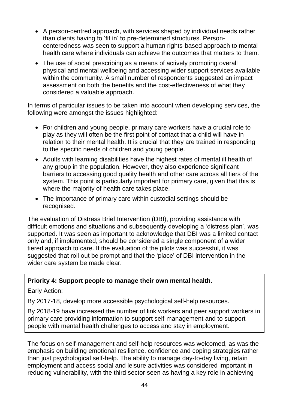- A person-centred approach, with services shaped by individual needs rather than clients having to "fit in" to pre-determined structures. Personcenteredness was seen to support a human rights-based approach to mental health care where individuals can achieve the outcomes that matters to them.
- The use of social prescribing as a means of actively promoting overall physical and mental wellbeing and accessing wider support services available within the community. A small number of respondents suggested an impact assessment on both the benefits and the cost-effectiveness of what they considered a valuable approach.

In terms of particular issues to be taken into account when developing services, the following were amongst the issues highlighted:

- For children and young people, primary care workers have a crucial role to play as they will often be the first point of contact that a child will have in relation to their mental health. It is crucial that they are trained in responding to the specific needs of children and young people.
- Adults with learning disabilities have the highest rates of mental ill health of any group in the population. However, they also experience significant barriers to accessing good quality health and other care across all tiers of the system. This point is particularly important for primary care, given that this is where the majority of health care takes place.
- The importance of primary care within custodial settings should be recognised.

The evaluation of Distress Brief Intervention (DBI), providing assistance with difficult emotions and situations and subsequently developing a "distress plan", was supported. It was seen as important to acknowledge that DBI was a limited contact only and, if implemented, should be considered a single component of a wider tiered approach to care. If the evaluation of the pilots was successful, it was suggested that roll out be prompt and that the "place" of DBI intervention in the wider care system be made clear.

#### **Priority 4: Support people to manage their own mental health.**

#### Early Action:

By 2017-18, develop more accessible psychological self-help resources.

By 2018-19 have increased the number of link workers and peer support workers in primary care providing information to support self-management and to support people with mental health challenges to access and stay in employment.

The focus on self-management and self-help resources was welcomed, as was the emphasis on building emotional resilience, confidence and coping strategies rather than just psychological self-help. The ability to manage day-to-day living, retain employment and access social and leisure activities was considered important in reducing vulnerability, with the third sector seen as having a key role in achieving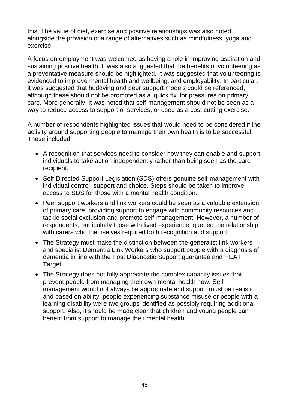this. The value of diet, exercise and positive relationships was also noted, alongside the provision of a range of alternatives such as mindfulness, yoga and exercise.

A focus on employment was welcomed as having a role in improving aspiration and sustaining positive health. It was also suggested that the benefits of volunteering as a preventative measure should be highlighted. It was suggested that volunteering is evidenced to improve mental health and wellbeing, and employability. In particular, it was suggested that buddying and peer support models could be referenced, although these should not be promoted as a "quick fix" for pressures on primary care. More generally, it was noted that self-management should not be seen as a way to reduce access to support or services, or used as a cost cutting exercise.

A number of respondents highlighted issues that would need to be considered if the activity around supporting people to manage their own health is to be successful. These included:

- A recognition that services need to consider how they can enable and support individuals to take action independently rather than being seen as the care recipient.
- Self-Directed Support Legislation (SDS) offers genuine self-management with individual control, support and choice. Steps should be taken to improve access to SDS for those with a mental health condition.
- Peer support workers and link workers could be seen as a valuable extension of primary care, providing support to engage with community resources and tackle social exclusion and promote self-management. However, a number of respondents, particularly those with lived experience, queried the relationship with carers who themselves required both recognition and support.
- The Strategy must make the distinction between the generalist link workers and specialist Dementia Link Workers who support people with a diagnosis of dementia in line with the Post Diagnostic Support guarantee and HEAT Target.
- The Strategy does not fully appreciate the complex capacity issues that prevent people from managing their own mental health now. Selfmanagement would not always be appropriate and support must be realistic and based on ability; people experiencing substance misuse or people with a learning disability were two groups identified as possibly requiring additional support. Also, it should be made clear that children and young people can benefit from support to manage their mental health.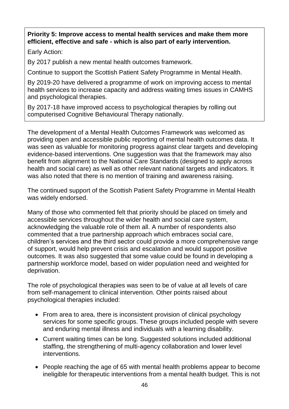#### **Priority 5: Improve access to mental health services and make them more efficient, effective and safe - which is also part of early intervention.**

Early Action:

By 2017 publish a new mental health outcomes framework.

Continue to support the Scottish Patient Safety Programme in Mental Health.

By 2019-20 have delivered a programme of work on improving access to mental health services to increase capacity and address waiting times issues in CAMHS and psychological therapies.

By 2017-18 have improved access to psychological therapies by rolling out computerised Cognitive Behavioural Therapy nationally.

The development of a Mental Health Outcomes Framework was welcomed as providing open and accessible public reporting of mental health outcomes data. It was seen as valuable for monitoring progress against clear targets and developing evidence-based interventions. One suggestion was that the framework may also benefit from alignment to the National Care Standards (designed to apply across health and social care) as well as other relevant national targets and indicators. It was also noted that there is no mention of training and awareness raising.

The continued support of the Scottish Patient Safety Programme in Mental Health was widely endorsed.

Many of those who commented felt that priority should be placed on timely and accessible services throughout the wider health and social care system, acknowledging the valuable role of them all. A number of respondents also commented that a true partnership approach which embraces social care, children"s services and the third sector could provide a more comprehensive range of support, would help prevent crisis and escalation and would support positive outcomes. It was also suggested that some value could be found in developing a partnership workforce model, based on wider population need and weighted for deprivation.

The role of psychological therapies was seen to be of value at all levels of care from self-management to clinical intervention. Other points raised about psychological therapies included:

- From area to area, there is inconsistent provision of clinical psychology services for some specific groups. These groups included people with severe and enduring mental illness and individuals with a learning disability.
- Current waiting times can be long. Suggested solutions included additional staffing, the strengthening of multi-agency collaboration and lower level interventions.
- People reaching the age of 65 with mental health problems appear to become ineligible for therapeutic interventions from a mental health budget. This is not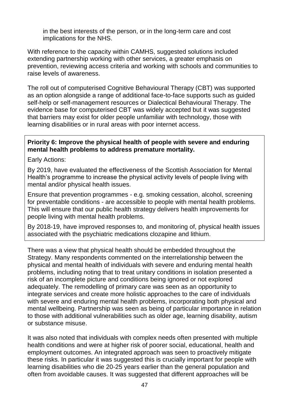in the best interests of the person, or in the long-term care and cost implications for the NHS.

With reference to the capacity within CAMHS, suggested solutions included extending partnership working with other services, a greater emphasis on prevention, reviewing access criteria and working with schools and communities to raise levels of awareness.

The roll out of computerised Cognitive Behavioural Therapy (CBT) was supported as an option alongside a range of additional face-to-face supports such as guided self-help or self-management resources or Dialectical Behavioural Therapy. The evidence base for computerised CBT was widely accepted but it was suggested that barriers may exist for older people unfamiliar with technology, those with learning disabilities or in rural areas with poor internet access.

#### **Priority 6: Improve the physical health of people with severe and enduring mental health problems to address premature mortality.**

Early Actions:

By 2019, have evaluated the effectiveness of the Scottish Association for Mental Health's programme to increase the physical activity levels of people living with mental and/or physical health issues.

Ensure that prevention programmes - e.g. smoking cessation, alcohol, screening for preventable conditions - are accessible to people with mental health problems. This will ensure that our public health strategy delivers health improvements for people living with mental health problems.

By 2018-19, have improved responses to, and monitoring of, physical health issues associated with the psychiatric medications clozapine and lithium.

There was a view that physical health should be embedded throughout the Strategy. Many respondents commented on the interrelationship between the physical and mental health of individuals with severe and enduring mental health problems, including noting that to treat unitary conditions in isolation presented a risk of an incomplete picture and conditions being ignored or not explored adequately. The remodelling of primary care was seen as an opportunity to integrate services and create more holistic approaches to the care of individuals with severe and enduring mental health problems, incorporating both physical and mental wellbeing. Partnership was seen as being of particular importance in relation to those with additional vulnerabilities such as older age, learning disability, autism or substance misuse.

It was also noted that individuals with complex needs often presented with multiple health conditions and were at higher risk of poorer social, educational, health and employment outcomes. An integrated approach was seen to proactively mitigate these risks. In particular it was suggested this is crucially important for people with learning disabilities who die 20-25 years earlier than the general population and often from avoidable causes. It was suggested that different approaches will be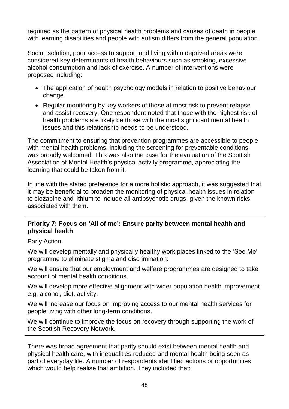required as the pattern of physical health problems and causes of death in people with learning disabilities and people with autism differs from the general population.

Social isolation, poor access to support and living within deprived areas were considered key determinants of health behaviours such as smoking, excessive alcohol consumption and lack of exercise. A number of interventions were proposed including:

- The application of health psychology models in relation to positive behaviour change.
- Regular monitoring by key workers of those at most risk to prevent relapse and assist recovery. One respondent noted that those with the highest risk of health problems are likely be those with the most significant mental health issues and this relationship needs to be understood.

The commitment to ensuring that prevention programmes are accessible to people with mental health problems, including the screening for preventable conditions, was broadly welcomed. This was also the case for the evaluation of the Scottish Association of Mental Health"s physical activity programme, appreciating the learning that could be taken from it.

In line with the stated preference for a more holistic approach, it was suggested that it may be beneficial to broaden the monitoring of physical health issues in relation to clozapine and lithium to include all antipsychotic drugs, given the known risks associated with them.

#### **Priority 7: Focus on 'All of me': Ensure parity between mental health and physical health**

Early Action:

We will develop mentally and physically healthy work places linked to the "See Me" programme to eliminate stigma and discrimination.

We will ensure that our employment and welfare programmes are designed to take account of mental health conditions.

We will develop more effective alignment with wider population health improvement e.g. alcohol, diet, activity.

We will increase our focus on improving access to our mental health services for people living with other long-term conditions.

We will continue to improve the focus on recovery through supporting the work of the Scottish Recovery Network.

There was broad agreement that parity should exist between mental health and physical health care, with inequalities reduced and mental health being seen as part of everyday life. A number of respondents identified actions or opportunities which would help realise that ambition. They included that: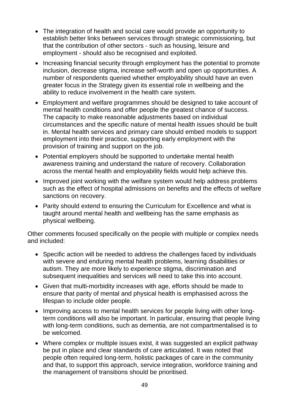- The integration of health and social care would provide an opportunity to establish better links between services through strategic commissioning, but that the contribution of other sectors - such as housing, leisure and employment - should also be recognised and exploited.
- Increasing financial security through employment has the potential to promote inclusion, decrease stigma, increase self-worth and open up opportunities. A number of respondents queried whether employability should have an even greater focus in the Strategy given its essential role in wellbeing and the ability to reduce involvement in the health care system.
- Employment and welfare programmes should be designed to take account of mental health conditions and offer people the greatest chance of success. The capacity to make reasonable adjustments based on individual circumstances and the specific nature of mental health issues should be built in. Mental health services and primary care should embed models to support employment into their practice, supporting early employment with the provision of training and support on the job.
- Potential employers should be supported to undertake mental health awareness training and understand the nature of recovery. Collaboration across the mental health and employability fields would help achieve this.
- Improved joint working with the welfare system would help address problems such as the effect of hospital admissions on benefits and the effects of welfare sanctions on recovery.
- Parity should extend to ensuring the Curriculum for Excellence and what is taught around mental health and wellbeing has the same emphasis as physical wellbeing.

Other comments focused specifically on the people with multiple or complex needs and included:

- Specific action will be needed to address the challenges faced by individuals with severe and enduring mental health problems, learning disabilities or autism. They are more likely to experience stigma, discrimination and subsequent inequalities and services will need to take this into account.
- Given that multi-morbidity increases with age, efforts should be made to ensure that parity of mental and physical health is emphasised across the lifespan to include older people.
- Improving access to mental health services for people living with other longterm conditions will also be important. In particular, ensuring that people living with long-term conditions, such as dementia, are not compartmentalised is to be welcomed.
- Where complex or multiple issues exist, it was suggested an explicit pathway be put in place and clear standards of care articulated. It was noted that people often required long-term, holistic packages of care in the community and that, to support this approach, service integration, workforce training and the management of transitions should be prioritised.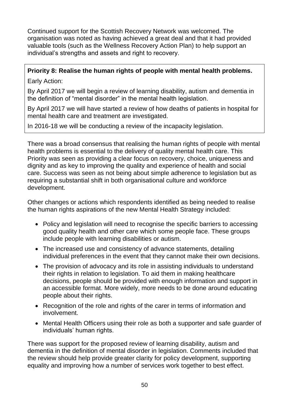Continued support for the Scottish Recovery Network was welcomed. The organisation was noted as having achieved a great deal and that it had provided valuable tools (such as the Wellness Recovery Action Plan) to help support an individual"s strengths and assets and right to recovery.

## **Priority 8: Realise the human rights of people with mental health problems.**

Early Action:

By April 2017 we will begin a review of learning disability, autism and dementia in the definition of "mental disorder" in the mental health legislation.

By April 2017 we will have started a review of how deaths of patients in hospital for mental health care and treatment are investigated.

In 2016-18 we will be conducting a review of the incapacity legislation.

There was a broad consensus that realising the human rights of people with mental health problems is essential to the delivery of quality mental health care. This Priority was seen as providing a clear focus on recovery, choice, uniqueness and dignity and as key to improving the quality and experience of health and social care. Success was seen as not being about simple adherence to legislation but as requiring a substantial shift in both organisational culture and workforce development.

Other changes or actions which respondents identified as being needed to realise the human rights aspirations of the new Mental Health Strategy included:

- Policy and legislation will need to recognise the specific barriers to accessing good quality health and other care which some people face. These groups include people with learning disabilities or autism.
- The increased use and consistency of advance statements, detailing individual preferences in the event that they cannot make their own decisions.
- The provision of advocacy and its role in assisting individuals to understand their rights in relation to legislation. To aid them in making healthcare decisions, people should be provided with enough information and support in an accessible format. More widely, more needs to be done around educating people about their rights.
- Recognition of the role and rights of the carer in terms of information and involvement.
- Mental Health Officers using their role as both a supporter and safe guarder of individuals" human rights.

There was support for the proposed review of learning disability, autism and dementia in the definition of mental disorder in legislation. Comments included that the review should help provide greater clarity for policy development, supporting equality and improving how a number of services work together to best effect.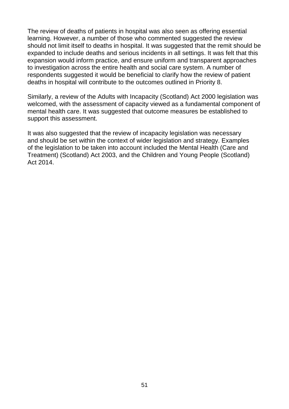The review of deaths of patients in hospital was also seen as offering essential learning. However, a number of those who commented suggested the review should not limit itself to deaths in hospital. It was suggested that the remit should be expanded to include deaths and serious incidents in all settings. It was felt that this expansion would inform practice, and ensure uniform and transparent approaches to investigation across the entire health and social care system. A number of respondents suggested it would be beneficial to clarify how the review of patient deaths in hospital will contribute to the outcomes outlined in Priority 8.

Similarly, a review of the Adults with Incapacity (Scotland) Act 2000 legislation was welcomed, with the assessment of capacity viewed as a fundamental component of mental health care. It was suggested that outcome measures be established to support this assessment.

It was also suggested that the review of incapacity legislation was necessary and should be set within the context of wider legislation and strategy. Examples of the legislation to be taken into account included the Mental Health (Care and Treatment) (Scotland) Act 2003, and the Children and Young People (Scotland) Act 2014.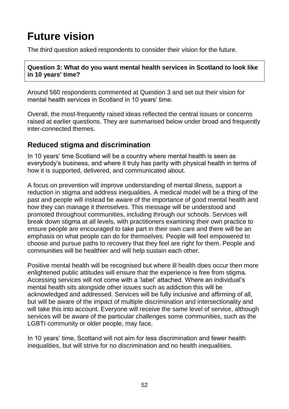# **Future vision**

The third question asked respondents to consider their vision for the future.

#### **Question 3: What do you want mental health services in Scotland to look like in 10 years' time?**

Around 560 respondents commented at Question 3 and set out their vision for mental health services in Scotland in 10 years' time.

Overall, the most-frequently raised ideas reflected the central issues or concerns raised at earlier questions. They are summarised below under broad and frequently inter-connected themes.

### **Reduced stigma and discrimination**

In 10 years' time Scotland will be a country where mental health is seen as everybody"s business, and where it truly has parity with physical health in terms of how it is supported, delivered, and communicated about.

A focus on prevention will improve understanding of mental illness, support a reduction in stigma and address inequalities. A medical model will be a thing of the past and people will instead be aware of the importance of good mental health and how they can manage it themselves. This message will be understood and promoted throughout communities, including through our schools. Services will break down stigma at all levels, with practitioners examining their own practice to ensure people are encouraged to take part in their own care and there will be an emphasis on what people can do for themselves. People will feel empowered to choose and pursue paths to recovery that they feel are right for them. People and communities will be healthier and will help sustain each other.

Positive mental health will be recognised but where ill health does occur then more enlightened public attitudes will ensure that the experience is free from stigma. Accessing services will not come with a "label" attached. Where an individual"s mental health sits alongside other issues such as addiction this will be acknowledged and addressed. Services will be fully inclusive and affirming of all, but will be aware of the impact of multiple discrimination and intersectionality and will take this into account. Everyone will receive the same level of service, although services will be aware of the particular challenges some communities, such as the LGBTI community or older people, may face.

In 10 years' time, Scotland will not aim for less discrimination and fewer health inequalities, but will strive for no discrimination and no health inequalities.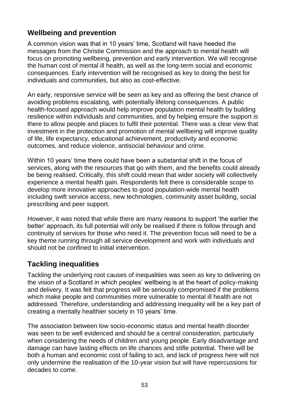### **Wellbeing and prevention**

A common vision was that in 10 years" time, Scotland will have heeded the messages from the Christie Commission and the approach to mental health will focus on promoting wellbeing, prevention and early intervention. We will recognise the human cost of mental ill health, as well as the long-term social and economic consequences. Early intervention will be recognised as key to doing the best for individuals and communities, but also as cost-effective.

An early, responsive service will be seen as key and as offering the best chance of avoiding problems escalating, with potentially lifelong consequences. A public health-focused approach would help improve population mental health by building resilience within individuals and communities, and by helping ensure the support is there to allow people and places to fulfil their potential. There was a clear view that investment in the protection and promotion of mental wellbeing will improve quality of life, life expectancy, educational achievement, productivity and economic outcomes, and reduce violence, antisocial behaviour and crime.

Within 10 years" time there could have been a substantial shift in the focus of services, along with the resources that go with them, and the benefits could already be being realised. Critically, this shift could mean that wider society will collectively experience a mental health gain. Respondents felt there is considerable scope to develop more innovative approaches to good population-wide mental health including swift service access, new technologies, community asset building, social prescribing and peer support.

However, it was noted that while there are many reasons to support "the earlier the better" approach, its full potential will only be realised if there is follow through and continuity of services for those who need it. The prevention focus will need to be a key theme running through all service development and work with individuals and should not be confined to initial intervention.

### **Tackling inequalities**

Tackling the underlying root causes of inequalities was seen as key to delivering on the vision of a Scotland in which peoples' wellbeing is at the heart of policy-making and delivery. It was felt that progress will be seriously compromised if the problems which make people and communities more vulnerable to mental ill health are not addressed. Therefore, understanding and addressing inequality will be a key part of creating a mentally healthier society in 10 years" time.

The association between low socio-economic status and mental health disorder was seen to be well evidenced and should be a central consideration, particularly when considering the needs of children and young people. Early disadvantage and damage can have lasting effects on life chances and stifle potential. There will be both a human and economic cost of failing to act, and lack of progress here will not only undermine the realisation of the 10-year vision but will have repercussions for decades to come.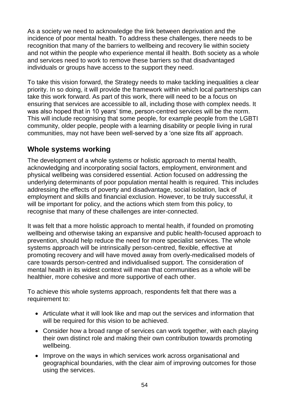As a society we need to acknowledge the link between deprivation and the incidence of poor mental health. To address these challenges, there needs to be recognition that many of the barriers to wellbeing and recovery lie within society and not within the people who experience mental ill health. Both society as a whole and services need to work to remove these barriers so that disadvantaged individuals or groups have access to the support they need.

To take this vision forward, the Strategy needs to make tackling inequalities a clear priority. In so doing, it will provide the framework within which local partnerships can take this work forward. As part of this work, there will need to be a focus on ensuring that services are accessible to all, including those with complex needs. It was also hoped that in 10 years' time, person-centred services will be the norm. This will include recognising that some people, for example people from the LGBTI community, older people, people with a learning disability or people living in rural communities, may not have been well-served by a "one size fits all" approach.

### **Whole systems working**

The development of a whole systems or holistic approach to mental health, acknowledging and incorporating social factors, employment, environment and physical wellbeing was considered essential. Action focused on addressing the underlying determinants of poor population mental health is required. This includes addressing the effects of poverty and disadvantage, social isolation, lack of employment and skills and financial exclusion. However, to be truly successful, it will be important for policy, and the actions which stem from this policy, to recognise that many of these challenges are inter-connected.

It was felt that a more holistic approach to mental health, if founded on promoting wellbeing and otherwise taking an expansive and public health-focused approach to prevention, should help reduce the need for more specialist services. The whole systems approach will be intrinsically person-centred, flexible, effective at promoting recovery and will have moved away from overly-medicalised models of care towards person-centred and individualised support. The consideration of mental health in its widest context will mean that communities as a whole will be healthier, more cohesive and more supportive of each other.

To achieve this whole systems approach, respondents felt that there was a requirement to:

- Articulate what it will look like and map out the services and information that will be required for this vision to be achieved.
- Consider how a broad range of services can work together, with each playing their own distinct role and making their own contribution towards promoting wellbeing.
- Improve on the ways in which services work across organisational and geographical boundaries, with the clear aim of improving outcomes for those using the services.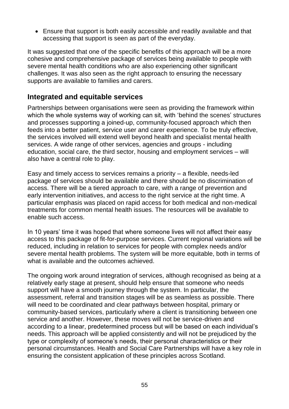Ensure that support is both easily accessible and readily available and that accessing that support is seen as part of the everyday.

It was suggested that one of the specific benefits of this approach will be a more cohesive and comprehensive package of services being available to people with severe mental health conditions who are also experiencing other significant challenges. It was also seen as the right approach to ensuring the necessary supports are available to families and carers.

### **Integrated and equitable services**

Partnerships between organisations were seen as providing the framework within which the whole systems way of working can sit, with 'behind the scenes' structures and processes supporting a joined-up, community-focused approach which then feeds into a better patient, service user and carer experience. To be truly effective, the services involved will extend well beyond health and specialist mental health services. A wide range of other services, agencies and groups - including education, social care, the third sector, housing and employment services – will also have a central role to play.

Easy and timely access to services remains a priority – a flexible, needs-led package of services should be available and there should be no discrimination of access. There will be a tiered approach to care, with a range of prevention and early intervention initiatives, and access to the right service at the right time. A particular emphasis was placed on rapid access for both medical and non-medical treatments for common mental health issues. The resources will be available to enable such access.

In 10 years' time it was hoped that where someone lives will not affect their easy access to this package of fit-for-purpose services. Current regional variations will be reduced, including in relation to services for people with complex needs and/or severe mental health problems. The system will be more equitable, both in terms of what is available and the outcomes achieved.

The ongoing work around integration of services, although recognised as being at a relatively early stage at present, should help ensure that someone who needs support will have a smooth journey through the system. In particular, the assessment, referral and transition stages will be as seamless as possible. There will need to be coordinated and clear pathways between hospital, primary or community-based services, particularly where a client is transitioning between one service and another. However, these moves will not be service-driven and according to a linear, predetermined process but will be based on each individual"s needs. This approach will be applied consistently and will not be prejudiced by the type or complexity of someone"s needs, their personal characteristics or their personal circumstances. Health and Social Care Partnerships will have a key role in ensuring the consistent application of these principles across Scotland.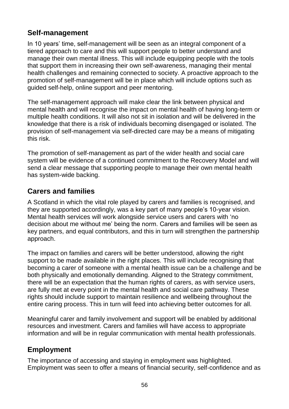### **Self-management**

In 10 years' time, self-management will be seen as an integral component of a tiered approach to care and this will support people to better understand and manage their own mental illness. This will include equipping people with the tools that support them in increasing their own self-awareness, managing their mental health challenges and remaining connected to society. A proactive approach to the promotion of self-management will be in place which will include options such as guided self-help, online support and peer mentoring.

The self-management approach will make clear the link between physical and mental health and will recognise the impact on mental health of having long-term or multiple health conditions. It will also not sit in isolation and will be delivered in the knowledge that there is a risk of individuals becoming disengaged or isolated. The provision of self-management via self-directed care may be a means of mitigating this risk.

The promotion of self-management as part of the wider health and social care system will be evidence of a continued commitment to the Recovery Model and will send a clear message that supporting people to manage their own mental health has system-wide backing.

### **Carers and families**

A Scotland in which the vital role played by carers and families is recognised, and they are supported accordingly, was a key part of many people"s 10-year vision. Mental health services will work alongside service users and carers with "no decision about me without me" being the norm. Carers and families will be seen as key partners, and equal contributors, and this in turn will strengthen the partnership approach.

The impact on families and carers will be better understood, allowing the right support to be made available in the right places. This will include recognising that becoming a carer of someone with a mental health issue can be a challenge and be both physically and emotionally demanding. Aligned to the Strategy commitment, there will be an expectation that the human rights of carers, as with service users, are fully met at every point in the mental health and social care pathway. These rights should include support to maintain resilience and wellbeing throughout the entire caring process. This in turn will feed into achieving better outcomes for all.

Meaningful carer and family involvement and support will be enabled by additional resources and investment. Carers and families will have access to appropriate information and will be in regular communication with mental health professionals.

### **Employment**

The importance of accessing and staying in employment was highlighted. Employment was seen to offer a means of financial security, self-confidence and as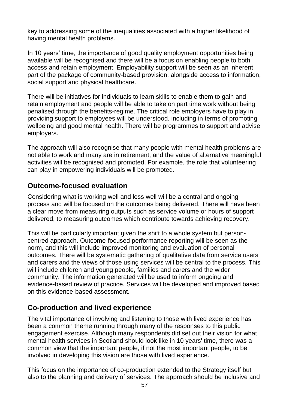key to addressing some of the inequalities associated with a higher likelihood of having mental health problems.

In 10 years' time, the importance of good quality employment opportunities being available will be recognised and there will be a focus on enabling people to both access and retain employment. Employability support will be seen as an inherent part of the package of community-based provision, alongside access to information, social support and physical healthcare.

There will be initiatives for individuals to learn skills to enable them to gain and retain employment and people will be able to take on part time work without being penalised through the benefits-regime. The critical role employers have to play in providing support to employees will be understood, including in terms of promoting wellbeing and good mental health. There will be programmes to support and advise employers.

The approach will also recognise that many people with mental health problems are not able to work and many are in retirement, and the value of alternative meaningful activities will be recognised and promoted. For example, the role that volunteering can play in empowering individuals will be promoted.

### **Outcome-focused evaluation**

Considering what is working well and less well will be a central and ongoing process and will be focused on the outcomes being delivered. There will have been a clear move from measuring outputs such as service volume or hours of support delivered, to measuring outcomes which contribute towards achieving recovery.

This will be particularly important given the shift to a whole system but personcentred approach. Outcome-focused performance reporting will be seen as the norm, and this will include improved monitoring and evaluation of personal outcomes. There will be systematic gathering of qualitative data from service users and carers and the views of those using services will be central to the process. This will include children and young people, families and carers and the wider community. The information generated will be used to inform ongoing and evidence-based review of practice. Services will be developed and improved based on this evidence-based assessment.

### **Co-production and lived experience**

The vital importance of involving and listening to those with lived experience has been a common theme running through many of the responses to this public engagement exercise. Although many respondents did set out their vision for what mental health services in Scotland should look like in 10 years' time, there was a common view that the important people, if not the most important people, to be involved in developing this vision are those with lived experience.

This focus on the importance of co-production extended to the Strategy itself but also to the planning and delivery of services. The approach should be inclusive and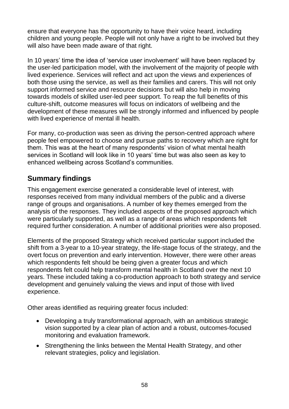ensure that everyone has the opportunity to have their voice heard, including children and young people. People will not only have a right to be involved but they will also have been made aware of that right.

In 10 years' time the idea of 'service user involvement' will have been replaced by the user-led participation model, with the involvement of the majority of people with lived experience. Services will reflect and act upon the views and experiences of both those using the service, as well as their families and carers. This will not only support informed service and resource decisions but will also help in moving towards models of skilled user-led peer support. To reap the full benefits of this culture-shift, outcome measures will focus on indicators of wellbeing and the development of these measures will be strongly informed and influenced by people with lived experience of mental ill health.

For many, co-production was seen as driving the person-centred approach where people feel empowered to choose and pursue paths to recovery which are right for them. This was at the heart of many respondents' vision of what mental health services in Scotland will look like in 10 years' time but was also seen as key to enhanced wellbeing across Scotland"s communities.

### **Summary findings**

This engagement exercise generated a considerable level of interest, with responses received from many individual members of the public and a diverse range of groups and organisations. A number of key themes emerged from the analysis of the responses. They included aspects of the proposed approach which were particularly supported, as well as a range of areas which respondents felt required further consideration. A number of additional priorities were also proposed.

Elements of the proposed Strategy which received particular support included the shift from a 3-year to a 10-year strategy, the life-stage focus of the strategy, and the overt focus on prevention and early intervention. However, there were other areas which respondents felt should be being given a greater focus and which respondents felt could help transform mental health in Scotland over the next 10 years. These included taking a co-production approach to both strategy and service development and genuinely valuing the views and input of those with lived experience.

Other areas identified as requiring greater focus included:

- Developing a truly transformational approach, with an ambitious strategic vision supported by a clear plan of action and a robust, outcomes-focused monitoring and evaluation framework.
- Strengthening the links between the Mental Health Strategy, and other relevant strategies, policy and legislation.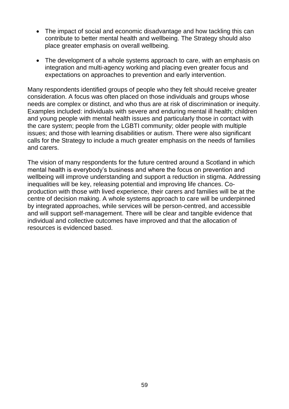- The impact of social and economic disadvantage and how tackling this can contribute to better mental health and wellbeing. The Strategy should also place greater emphasis on overall wellbeing.
- The development of a whole systems approach to care, with an emphasis on integration and multi-agency working and placing even greater focus and expectations on approaches to prevention and early intervention.

Many respondents identified groups of people who they felt should receive greater consideration. A focus was often placed on those individuals and groups whose needs are complex or distinct, and who thus are at risk of discrimination or inequity. Examples included: individuals with severe and enduring mental ill health; children and young people with mental health issues and particularly those in contact with the care system; people from the LGBTI community; older people with multiple issues; and those with learning disabilities or autism. There were also significant calls for the Strategy to include a much greater emphasis on the needs of families and carers.

The vision of many respondents for the future centred around a Scotland in which mental health is everybody"s business and where the focus on prevention and wellbeing will improve understanding and support a reduction in stigma. Addressing inequalities will be key, releasing potential and improving life chances. Coproduction with those with lived experience, their carers and families will be at the centre of decision making. A whole systems approach to care will be underpinned by integrated approaches, while services will be person-centred, and accessible and will support self-management. There will be clear and tangible evidence that individual and collective outcomes have improved and that the allocation of resources is evidenced based.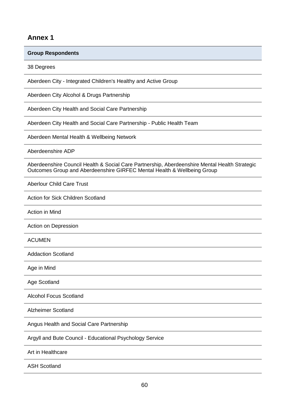#### **Annex 1**

#### **Group Respondents**

38 Degrees

Aberdeen City - Integrated Children's Healthy and Active Group

Aberdeen City Alcohol & Drugs Partnership

Aberdeen City Health and Social Care Partnership

Aberdeen City Health and Social Care Partnership - Public Health Team

Aberdeen Mental Health & Wellbeing Network

Aberdeenshire ADP

Aberdeenshire Council Health & Social Care Partnership, Aberdeenshire Mental Health Strategic Outcomes Group and Aberdeenshire GIRFEC Mental Health & Wellbeing Group

Aberlour Child Care Trust

Action for Sick Children Scotland

Action in Mind

Action on Depression

ACUMEN

Addaction Scotland

Age in Mind

Age Scotland

Alcohol Focus Scotland

Alzheimer Scotland

Angus Health and Social Care Partnership

Argyll and Bute Council - Educational Psychology Service

Art in Healthcare

ASH Scotland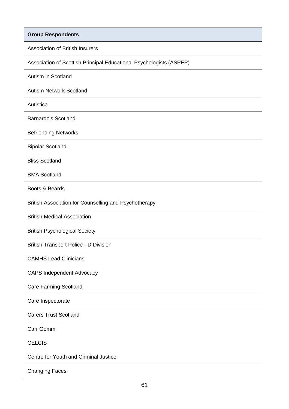Association of British Insurers

Association of Scottish Principal Educational Psychologists (ASPEP)

Autism in Scotland

Autism Network Scotland

Autistica

Barnardo's Scotland

Befriending Networks

Bipolar Scotland

Bliss Scotland

BMA Scotland

Boots & Beards

British Association for Counselling and Psychotherapy

British Medical Association

British Psychological Society

British Transport Police - D Division

CAMHS Lead Clinicians

CAPS Independent Advocacy

Care Farming Scotland

Care Inspectorate

Carers Trust Scotland

Carr Gomm

#### **CELCIS**

Centre for Youth and Criminal Justice

Changing Faces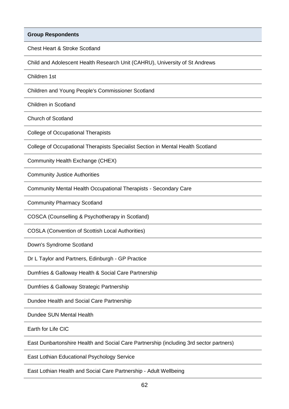Chest Heart & Stroke Scotland

Child and Adolescent Health Research Unit (CAHRU), University of St Andrews

Children 1st

Children and Young People's Commissioner Scotland

Children in Scotland

Church of Scotland

College of Occupational Therapists

College of Occupational Therapists Specialist Section in Mental Health Scotland

Community Health Exchange (CHEX)

Community Justice Authorities

Community Mental Health Occupational Therapists - Secondary Care

Community Pharmacy Scotland

COSCA (Counselling & Psychotherapy in Scotland)

COSLA (Convention of Scottish Local Authorities)

Down's Syndrome Scotland

Dr L Taylor and Partners, Edinburgh - GP Practice

Dumfries & Galloway Health & Social Care Partnership

Dumfries & Galloway Strategic Partnership

Dundee Health and Social Care Partnership

Dundee SUN Mental Health

Earth for Life CIC

East Dunbartonshire Health and Social Care Partnership (including 3rd sector partners)

East Lothian Educational Psychology Service

East Lothian Health and Social Care Partnership - Adult Wellbeing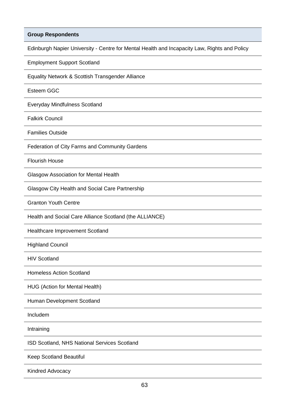Edinburgh Napier University - Centre for Mental Health and Incapacity Law, Rights and Policy

Employment Support Scotland

Equality Network & Scottish Transgender Alliance

Esteem GGC

Everyday Mindfulness Scotland

Falkirk Council

Families Outside

Federation of City Farms and Community Gardens

Flourish House

Glasgow Association for Mental Health

Glasgow City Health and Social Care Partnership

Granton Youth Centre

Health and Social Care Alliance Scotland (the ALLIANCE)

Healthcare Improvement Scotland

Highland Council

HIV Scotland

Homeless Action Scotland

HUG (Action for Mental Health)

Human Development Scotland

Includem

Intraining

ISD Scotland, NHS National Services Scotland

Keep Scotland Beautiful

Kindred Advocacy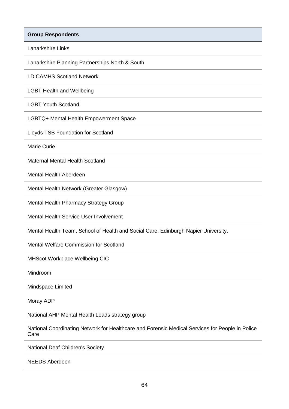**Group Respondents** Lanarkshire Links Lanarkshire Planning Partnerships North & South LD CAMHS Scotland Network LGBT Health and Wellbeing LGBT Youth Scotland LGBTQ+ Mental Health Empowerment Space Lloyds TSB Foundation for Scotland Marie Curie Maternal Mental Health Scotland Mental Health Aberdeen Mental Health Network (Greater Glasgow) Mental Health Pharmacy Strategy Group

Mental Health Service User Involvement

Mental Health Team, School of Health and Social Care, Edinburgh Napier University.

Mental Welfare Commission for Scotland

MHScot Workplace Wellbeing CIC

Mindroom

Mindspace Limited

Moray ADP

National AHP Mental Health Leads strategy group

National Coordinating Network for Healthcare and Forensic Medical Services for People in Police Care

National Deaf Children's Society

NEEDS Aberdeen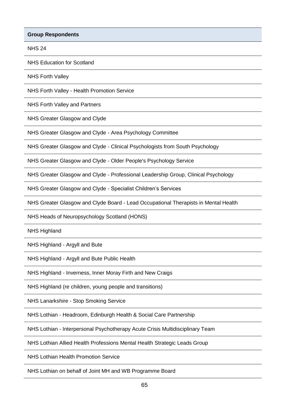NHS 24

NHS Education for Scotland

NHS Forth Valley

NHS Forth Valley - Health Promotion Service

NHS Forth Valley and Partners

NHS Greater Glasgow and Clyde

NHS Greater Glasgow and Clyde - Area Psychology Committee

NHS Greater Glasgow and Clyde - Clinical Psychologists from South Psychology

NHS Greater Glasgow and Clyde - Older People's Psychology Service

NHS Greater Glasgow and Clyde - Professional Leadership Group, Clinical Psychology

NHS Greater Glasgow and Clyde - Specialist Children"s Services

NHS Greater Glasgow and Clyde Board - Lead Occupational Therapists in Mental Health

NHS Heads of Neuropsychology Scotland (HONS)

NHS Highland

NHS Highland - Argyll and Bute

NHS Highland - Argyll and Bute Public Health

NHS Highland - Inverness, Inner Moray Firth and New Craigs

NHS Highland (re children, young people and transitions)

NHS Lanarkshire - Stop Smoking Service

NHS Lothian - Headroom, Edinburgh Health & Social Care Partnership

NHS Lothian - Interpersonal Psychotherapy Acute Crisis Multidisciplinary Team

NHS Lothian Allied Health Professions Mental Health Strategic Leads Group

NHS Lothian Health Promotion Service

NHS Lothian on behalf of Joint MH and WB Programme Board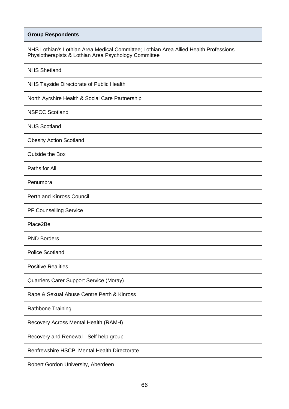NHS Lothian's Lothian Area Medical Committee; Lothian Area Allied Health Professions Physiotherapists & Lothian Area Psychology Committee

| <b>NHS Shetland</b>                             |
|-------------------------------------------------|
| NHS Tayside Directorate of Public Health        |
| North Ayrshire Health & Social Care Partnership |
| <b>NSPCC Scotland</b>                           |
| <b>NUS Scotland</b>                             |
| <b>Obesity Action Scotland</b>                  |
| Outside the Box                                 |
| Paths for All                                   |
| Penumbra                                        |
| Perth and Kinross Council                       |
| PF Counselling Service                          |
| Place2Be                                        |
| <b>PND Borders</b>                              |
| <b>Police Scotland</b>                          |
| <b>Positive Realities</b>                       |
| Quarriers Carer Support Service (Moray)         |
| Rape & Sexual Abuse Centre Perth & Kinross      |
| Rathbone Training                               |
| Recovery Across Mental Health (RAMH)            |
| Recovery and Renewal - Self help group          |
| Renfrewshire HSCP, Mental Health Directorate    |
|                                                 |

Robert Gordon University, Aberdeen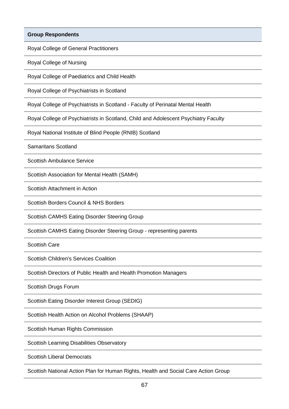Royal College of General Practitioners

Royal College of Nursing

Royal College of Paediatrics and Child Health

Royal College of Psychiatrists in Scotland

Royal College of Psychiatrists in Scotland - Faculty of Perinatal Mental Health

Royal College of Psychiatrists in Scotland, Child and Adolescent Psychiatry Faculty

Royal National Institute of Blind People (RNIB) Scotland

Samaritans Scotland

Scottish Ambulance Service

Scottish Association for Mental Health (SAMH)

Scottish Attachment in Action

Scottish Borders Council & NHS Borders

Scottish CAMHS Eating Disorder Steering Group

Scottish CAMHS Eating Disorder Steering Group - representing parents

Scottish Care

Scottish Children's Services Coalition

Scottish Directors of Public Health and Health Promotion Managers

Scottish Drugs Forum

Scottish Eating Disorder Interest Group (SEDIG)

Scottish Health Action on Alcohol Problems (SHAAP)

Scottish Human Rights Commission

Scottish Learning Disabilities Observatory

Scottish Liberal Democrats

Scottish National Action Plan for Human Rights, Health and Social Care Action Group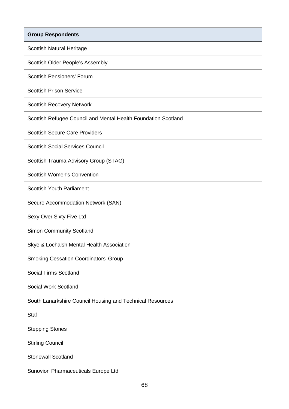Scottish Natural Heritage

Scottish Older People's Assembly

Scottish Pensioners' Forum

Scottish Prison Service

Scottish Recovery Network

Scottish Refugee Council and Mental Health Foundation Scotland

Scottish Secure Care Providers

Scottish Social Services Council

Scottish Trauma Advisory Group (STAG)

Scottish Women's Convention

Scottish Youth Parliament

Secure Accommodation Network (SAN)

Sexy Over Sixty Five Ltd

Simon Community Scotland

Skye & Lochalsh Mental Health Association

Smoking Cessation Coordinators' Group

Social Firms Scotland

Social Work Scotland

South Lanarkshire Council Housing and Technical Resources

Staf

Stepping Stones

Stirling Council

Stonewall Scotland

Sunovion Pharmaceuticals Europe Ltd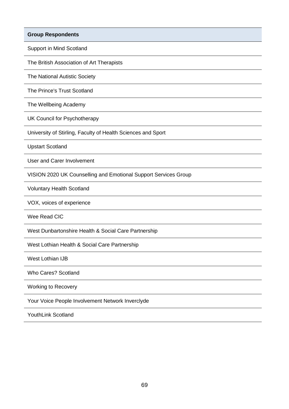Support in Mind Scotland

The British Association of Art Therapists

The National Autistic Society

The Prince's Trust Scotland

The Wellbeing Academy

UK Council for Psychotherapy

University of Stirling, Faculty of Health Sciences and Sport

Upstart Scotland

User and Carer Involvement

VISION 2020 UK Counselling and Emotional Support Services Group

Voluntary Health Scotland

VOX, voices of experience

Wee Read CIC

West Dunbartonshire Health & Social Care Partnership

West Lothian Health & Social Care Partnership

West Lothian IJB

Who Cares? Scotland

Working to Recovery

Your Voice People Involvement Network Inverclyde

YouthLink Scotland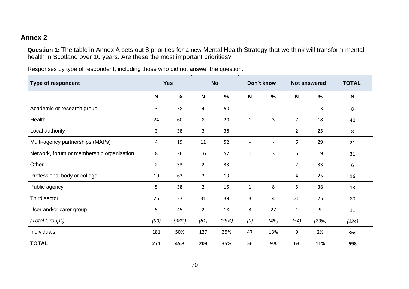#### **Annex 2**

**Question 1:** The table in Annex A sets out 8 priorities for a new Mental Health Strategy that we think will transform mental health in Scotland over 10 years. Are these the most important priorities?

Responses by type of respondent, including those who did not answer the question.

| <b>Type of respondent</b>                 | <b>Yes</b>     |               | <b>No</b>      |               | Don't know   |                          | <b>Not answered</b> |               | <b>TOTAL</b> |
|-------------------------------------------|----------------|---------------|----------------|---------------|--------------|--------------------------|---------------------|---------------|--------------|
|                                           | N              | $\frac{0}{0}$ | N              | $\frac{0}{0}$ | N            | $\frac{0}{0}$            | $\mathbf N$         | $\frac{0}{0}$ | $\mathbf N$  |
| Academic or research group                | 3              | 38            | 4              | 50            |              | $\blacksquare$           | $\mathbf{1}$        | 13            | 8            |
| Health                                    | 24             | 60            | 8              | 20            | $\mathbf{1}$ | 3                        | $\overline{7}$      | 18            | 40           |
| Local authority                           | 3              | 38            | 3              | 38            |              | $\overline{\phantom{0}}$ | $\overline{2}$      | 25            | 8            |
| Multi-agency partnerships (MAPs)          | 4              | 19            | 11             | 52            |              | $\overline{\phantom{0}}$ | 6                   | 29            | 21           |
| Network, forum or membership organisation | 8              | 26            | 16             | 52            | $\mathbf{1}$ | 3                        | 6                   | 19            | 31           |
| Other                                     | $\overline{2}$ | 33            | $\overline{2}$ | 33            |              | $\overline{\phantom{a}}$ | $\overline{2}$      | 33            | 6            |
| Professional body or college              | 10             | 63            | $\overline{2}$ | 13            |              |                          | 4                   | 25            | 16           |
| Public agency                             | 5              | 38            | $\overline{2}$ | 15            | $\mathbf{1}$ | 8                        | 5                   | 38            | 13           |
| Third sector                              | 26             | 33            | 31             | 39            | 3            | 4                        | 20                  | 25            | 80           |
| User and/or carer group                   | 5              | 45            | $\overline{2}$ | 18            | 3            | 27                       | $\mathbf{1}$        | 9             | 11           |
| (Total Groups)                            | (90)           | (38%)         | (81)           | (35%)         | (9)          | (4%)                     | (54)                | (23%)         | (234)        |
| Individuals                               | 181            | 50%           | 127            | 35%           | 47           | 13%                      | 9                   | 2%            | 364          |
| <b>TOTAL</b>                              | 271            | 45%           | 208            | 35%           | 56           | 9%                       | 63                  | 11%           | 598          |